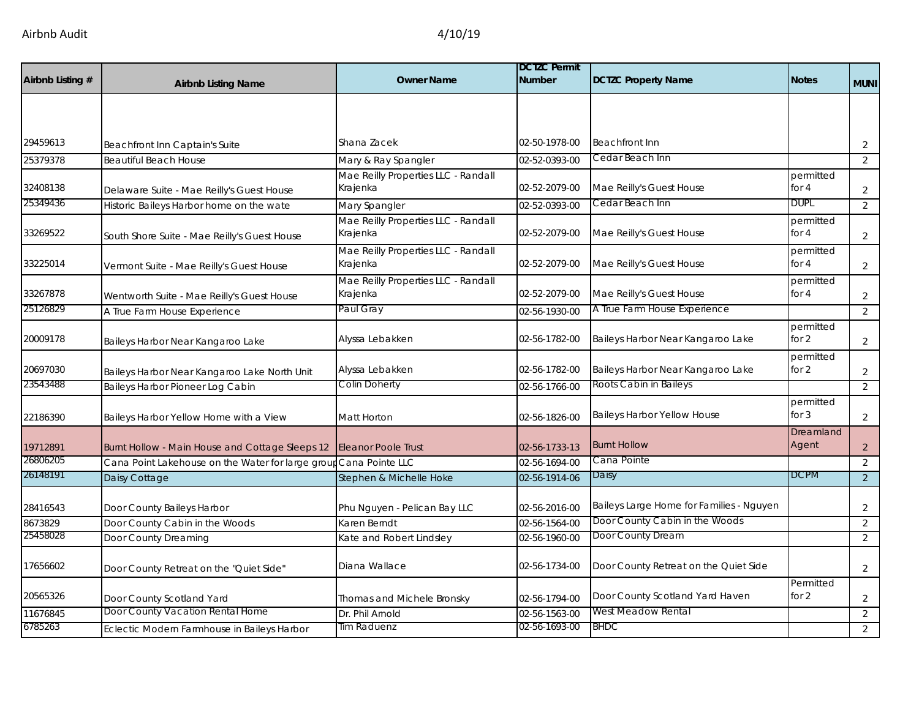| Airbnb Listing # | <b>Airbnb Listing Name</b>                        | <b>Owner Name</b>                               | <b>DCTZC Permit</b><br><b>Number</b> | <b>DCTZC Property Name</b>               | <b>Notes</b>         | <b>MUNI</b>    |
|------------------|---------------------------------------------------|-------------------------------------------------|--------------------------------------|------------------------------------------|----------------------|----------------|
|                  |                                                   |                                                 |                                      |                                          |                      |                |
|                  |                                                   |                                                 |                                      |                                          |                      |                |
| 29459613         | Beachfront Inn Captain's Suite                    | Shana Zacek                                     | 02-50-1978-00                        | <b>Beachfront Inn</b>                    |                      | $\overline{2}$ |
| 25379378         | <b>Beautiful Beach House</b>                      | Mary & Ray Spangler                             | 02-52-0393-00                        | Cedar Beach Inn                          |                      | 2              |
|                  |                                                   | Mae Reilly Properties LLC - Randall             |                                      |                                          | permitted            |                |
| 32408138         | Delaware Suite - Mae Reilly's Guest House         | Krajenka                                        | 02-52-2079-00                        | Mae Reilly's Guest House                 | for 4                | $\overline{2}$ |
| 25349436         | Historic Baileys Harbor home on the wate          | Mary Spangler                                   | 02-52-0393-00                        | Cedar Beach Inn                          | DUPL                 | $\overline{2}$ |
| 33269522         | South Shore Suite - Mae Reilly's Guest House      | Mae Reilly Properties LLC - Randall<br>Krajenka | 02-52-2079-00                        | Mae Reilly's Guest House                 | permitted<br>for $4$ | $\overline{2}$ |
|                  |                                                   | Mae Reilly Properties LLC - Randall             |                                      |                                          | permitted            |                |
| 33225014         | Vermont Suite - Mae Reilly's Guest House          | Krajenka                                        | 02-52-2079-00                        | Mae Reilly's Guest House                 | for $4$              | $\overline{2}$ |
| 33267878         | Wentworth Suite - Mae Reilly's Guest House        | Mae Reilly Properties LLC - Randall<br>Krajenka | 02-52-2079-00                        | Mae Reilly's Guest House                 | permitted<br>for $4$ | $\overline{2}$ |
| 25126829         | A True Farm House Experience                      | Paul Gray                                       | 02-56-1930-00                        | A True Farm House Experience             |                      | $\overline{2}$ |
| 20009178         | Baileys Harbor Near Kangaroo Lake                 | Alyssa Lebakken                                 | 02-56-1782-00                        | Baileys Harbor Near Kangaroo Lake        | permitted<br>for 2   | $\overline{2}$ |
| 20697030         | Baileys Harbor Near Kangaroo Lake North Unit      | Alyssa Lebakken                                 | 02-56-1782-00                        | Baileys Harbor Near Kangaroo Lake        | permitted<br>for 2   | $\overline{2}$ |
| 23543488         | Baileys Harbor Pioneer Log Cabin                  | Colin Doherty                                   | 02-56-1766-00                        | Roots Cabin in Baileys                   |                      | 2              |
| 22186390         | Baileys Harbor Yellow Home with a View            | Matt Horton                                     | 02-56-1826-00                        | <b>Baileys Harbor Yellow House</b>       | permitted<br>for $3$ | $\overline{2}$ |
| 19712891         | Burnt Hollow - Main House and Cottage Sleeps 12   | <b>Eleanor Poole Trust</b>                      | 02-56-1733-13                        | <b>Burnt Hollow</b>                      | Dreamland<br>Agent   | $\overline{2}$ |
| 26806205         | Cana Point Lakehouse on the Water for large group | Cana Pointe LLC                                 | 02-56-1694-00                        | Cana Pointe                              |                      | 2              |
| 26148191         | Daisy Cottage                                     | Stephen & Michelle Hoke                         | 02-56-1914-06                        | Daisy                                    | <b>DCPM</b>          | $\overline{2}$ |
| 28416543         | Door County Baileys Harbor                        | Phu Nguyen - Pelican Bay LLC                    | 02-56-2016-00                        | Baileys Large Home for Families - Nguyen |                      | $\overline{a}$ |
| 8673829          | Door County Cabin in the Woods                    | Karen Berndt                                    | 02-56-1564-00                        | Door County Cabin in the Woods           |                      | $\overline{2}$ |
| 25458028         | Door County Dreaming                              | Kate and Robert Lindsley                        | 02-56-1960-00                        | Door County Dream                        |                      | 2              |
| 17656602         | Door County Retreat on the "Quiet Side"           | Diana Wallace                                   | 02-56-1734-00                        | Door County Retreat on the Quiet Side    |                      | $\overline{2}$ |
| 20565326         | Door County Scotland Yard                         | Thomas and Michele Bronsky                      | 02-56-1794-00                        | Door County Scotland Yard Haven          | Permitted<br>for 2   | $\overline{2}$ |
| 11676845         | Door County Vacation Rental Home                  | Dr. Phil Arnold                                 | 02-56-1563-00                        | West Meadow Rental                       |                      | $\overline{2}$ |
| 6785263          | Eclectic Modern Farmhouse in Baileys Harbor       | Tim Raduenz                                     | 02-56-1693-00                        | <b>BHDC</b>                              |                      | $\overline{2}$ |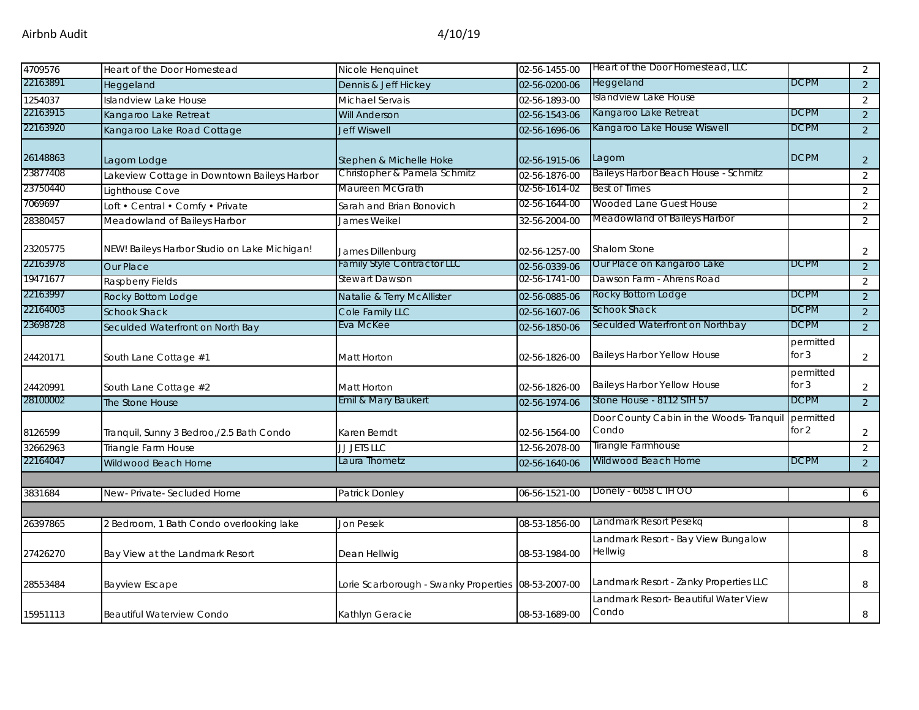| 4709576  | Heart of the Door Homestead                  | Nicole Henquinet                                    | 02-56-1455-00 | Heart of the Door Homestead, LLC                  |                      | $\overline{2}$ |
|----------|----------------------------------------------|-----------------------------------------------------|---------------|---------------------------------------------------|----------------------|----------------|
| 22163891 | Heggeland                                    | Dennis & Jeff Hickey                                | 02-56-0200-06 | Heggeland                                         | <b>DCPM</b>          | 2              |
| 1254037  | Islandview Lake House                        | Michael Servais                                     | 02-56-1893-00 | Islandview Lake House                             |                      | 2              |
| 22163915 | Kangaroo Lake Retreat                        | <b>Will Anderson</b>                                | 02-56-1543-06 | Kangaroo Lake Retreat                             | <b>DCPM</b>          | $\overline{2}$ |
| 22163920 | Kangaroo Lake Road Cottage                   | <b>Jeff Wiswell</b>                                 | 02-56-1696-06 | Kangaroo Lake House Wiswell                       | <b>DCPM</b>          | $\overline{2}$ |
| 26148863 | Lagom Lodge                                  | Stephen & Michelle Hoke                             | 02-56-1915-06 | Lagom                                             | <b>DCPM</b>          | $\overline{2}$ |
| 23877408 | Lakeview Cottage in Downtown Baileys Harbor  | Christopher & Pamela Schmitz                        | 02-56-1876-00 | Baileys Harbor Beach House - Schmitz              |                      | 2              |
| 23750440 | Lighthouse Cove                              | Maureen McGrath                                     | 02-56-1614-02 | <b>Best of Times</b>                              |                      | $\overline{2}$ |
| 7069697  | Loft • Central • Comfy • Private             | Sarah and Brian Bonovich                            | 02-56-1644-00 | Wooded Lane Guest House                           |                      | 2              |
| 28380457 | Meadowland of Baileys Harbor                 | James Weikel                                        | 32-56-2004-00 | Meadowland of Baileys Harbor                      |                      | $\overline{2}$ |
| 23205775 | NEW! Baileys Harbor Studio on Lake Michigan! | James Dillenburg                                    | 02-56-1257-00 | Shalom Stone                                      |                      | $\overline{2}$ |
| 22163978 | Our Place                                    | <b>Family Style Contractor LLC</b>                  | 02-56-0339-06 | Our Place on Kangaroo Lake                        | <b>DCPM</b>          | $\overline{2}$ |
| 19471677 | Raspberry Fields                             | Stewart Dawson                                      | 02-56-1741-00 | Dawson Farm - Ahrens Road                         |                      | 2              |
| 22163997 | Rocky Bottom Lodge                           | Natalie & Terry McAllister                          | 02-56-0885-06 | Rocky Bottom Lodge                                | <b>DCPM</b>          | $\overline{2}$ |
| 22164003 | <b>Schook Shack</b>                          | Cole Family LLC                                     | 02-56-1607-06 | <b>Schook Shack</b>                               | <b>DCPM</b>          | $\overline{2}$ |
| 23698728 | Seculded Waterfront on North Bay             | Eva McKee                                           | 02-56-1850-06 | Seculded Waterfront on Northbay                   | <b>DCPM</b>          | $\overline{2}$ |
| 24420171 | South Lane Cottage #1                        | Matt Horton                                         | 02-56-1826-00 | Baileys Harbor Yellow House                       | permitted<br>for $3$ | $\overline{2}$ |
| 24420991 | South Lane Cottage #2                        | Matt Horton                                         | 02-56-1826-00 | Baileys Harbor Yellow House                       | permitted<br>for $3$ | $\overline{2}$ |
| 28100002 | The Stone House                              | Emil & Mary Baukert                                 | 02-56-1974-06 | Stone House - 8112 STH 57                         | <b>DCPM</b>          | $\overline{2}$ |
| 8126599  | Tranquil, Sunny 3 Bedroo,/2.5 Bath Condo     | Karen Berndt                                        | 02-56-1564-00 | Door County Cabin in the Woods- Tranquil<br>Condo | permitted<br>for 2   | $\overline{2}$ |
| 32662963 | Triangle Farm House                          | JJ JETS LLC                                         | 12-56-2078-00 | Tirangle Farmhouse                                |                      | $\overline{2}$ |
| 22164047 | Wildwood Beach Home                          | Laura Thometz                                       | 02-56-1640-06 | Wildwood Beach Home                               | <b>DCPM</b>          | $\overline{2}$ |
|          |                                              |                                                     |               |                                                   |                      |                |
| 3831684  | New-Private-Secluded Home                    | Patrick Donley                                      | 06-56-1521-00 | Donely - 6058 CTH OO                              |                      | 6              |
| 26397865 | 2 Bedroom, 1 Bath Condo overlooking lake     | Jon Pesek                                           | 08-53-1856-00 | Landmark Resort Pesekg                            |                      | 8              |
|          |                                              |                                                     |               | Landmark Resort - Bay View Bungalow               |                      |                |
| 27426270 | Bay View at the Landmark Resort              | Dean Hellwig                                        | 08-53-1984-00 | <b>Hellwig</b>                                    |                      | 8              |
| 28553484 | <b>Bayview Escape</b>                        | Lorie Scarborough - Swanky Properties 08-53-2007-00 |               | Landmark Resort - Zanky Properties LLC            |                      | 8              |
| 15951113 | <b>Beautiful Waterview Condo</b>             | Kathlyn Geracie                                     | 08-53-1689-00 | Landmark Resort- Beautiful Water View<br>Condo    |                      | 8              |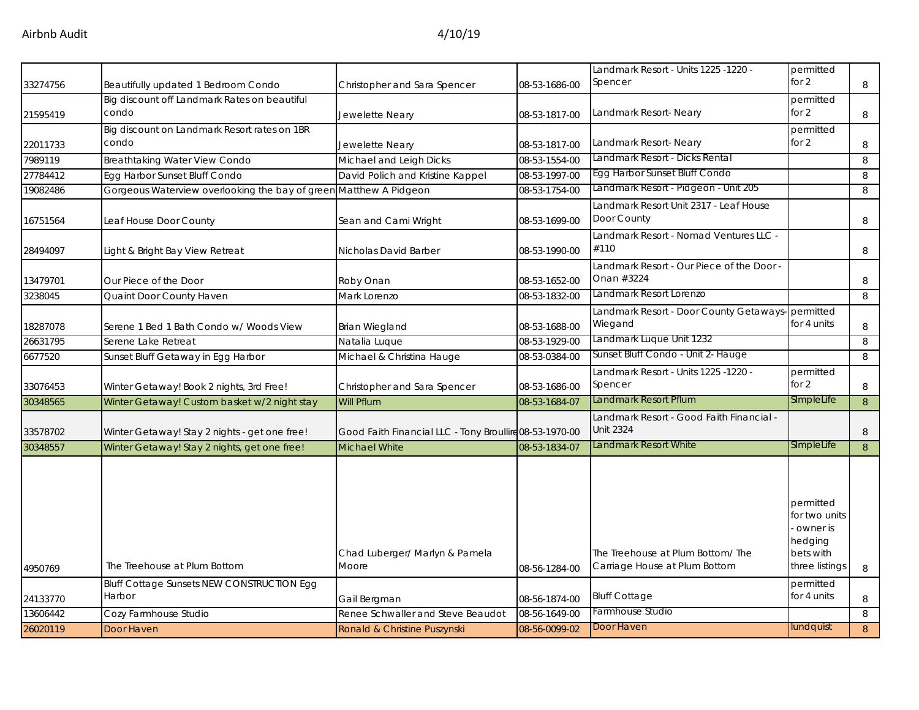|          |                                                       |                                                         |               |                                                              | - owner is<br>hedging      |              |
|----------|-------------------------------------------------------|---------------------------------------------------------|---------------|--------------------------------------------------------------|----------------------------|--------------|
|          |                                                       |                                                         |               |                                                              | permitted<br>for two units |              |
|          |                                                       |                                                         |               |                                                              |                            |              |
| 30348557 | Winter Getaway! Stay 2 nights, get one free!          | Michael White                                           | 08-53-1834-07 | Landmark Resort White                                        | SImpleLife                 | $\mathbf{8}$ |
| 33578702 | Winter Getaway! Stay 2 nights - get one free!         | Good Faith Financial LLC - Tony Broullire 08-53-1970-00 |               | Landmark Resort - Good Faith Financial -<br><b>Unit 2324</b> |                            | 8            |
| 30348565 | Winter Getaway! Custom basket w/2 night stay          | Will Pflum                                              | 08-53-1684-07 | Landmark Resort Pflum                                        | SImpleLife                 | 8            |
| 33076453 | Winter Getaway! Book 2 nights, 3rd Free!              | Christopher and Sara Spencer                            | 08-53-1686-00 | - Landmark Resort - Units 1225 -1220<br>Spencer              | permitted<br>for $2$       | 8            |
| 6677520  | Sunset Bluff Getaway in Egg Harbor                    | Michael & Christina Hauge                               | 08-53-0384-00 | Sunset Bluff Condo - Unit 2- Hauge                           |                            | 8            |
| 26631795 | Serene Lake Retreat                                   | Natalia Luque                                           | 08-53-1929-00 | Landmark Luque Unit 1232                                     |                            | 8            |
| 18287078 | Serene 1 Bed 1 Bath Condo w/ Woods View               | Brian Wiegland                                          | 08-53-1688-00 | Landmark Resort - Door County Getaways-<br>Wiegand           | permitted<br>for 4 units   | 8            |
| 3238045  | Quaint Door County Haven                              | Mark Lorenzo                                            | 08-53-1832-00 | Landmark Resort Lorenzo                                      |                            | 8            |
| 13479701 | Our Piece of the Door                                 | Roby Onan                                               | 08-53-1652-00 | Landmark Resort - Our Piece of the Door -<br>Onan #3224      |                            | 8            |
| 28494097 | Light & Bright Bay View Retreat                       | Nicholas David Barber                                   | 08-53-1990-00 | Landmark Resort - Nomad Ventures LLC -<br>#110               |                            | 8            |
| 16751564 | Leaf House Door County                                | Sean and Cami Wright                                    | 08-53-1699-00 | Landmark Resort Unit 2317 - Leaf House<br>Door County        |                            | 8            |
| 19082486 | Gorgeous Waterview overlooking the bay of green       | Matthew A Pidgeon                                       | 08-53-1754-00 | Landmark Resort - Pidgeon - Unit 205                         |                            | 8            |
| 27784412 | Egg Harbor Sunset Bluff Condo                         | David Polich and Kristine Kappel                        | 08-53-1997-00 | Egg Harbor Sunset Bluff Condo                                |                            | 8            |
| 7989119  | <b>Breathtaking Water View Condo</b>                  | Michael and Leigh Dicks                                 | 08-53-1554-00 | Landmark Resort - Dicks Rental                               |                            | 8            |
| 22011733 | Big discount on Landmark Resort rates on 1BR<br>condo | Jewelette Neary                                         | 08-53-1817-00 | Landmark Resort- Neary                                       | permitted<br>for $2$       | 8            |
| 21595419 | Big discount off Landmark Rates on beautiful<br>condo | Jewelette Neary                                         | 08-53-1817-00 | Landmark Resort- Neary                                       | permitted<br>for $2$       | 8            |
| 33274756 | Beautifully updated 1 Bedroom Condo                   | Christopher and Sara Spencer                            | 08-53-1686-00 | Landmark Resort - Units 1225 -1220 -<br>Spencer              | permitted<br>for $2$       | 8            |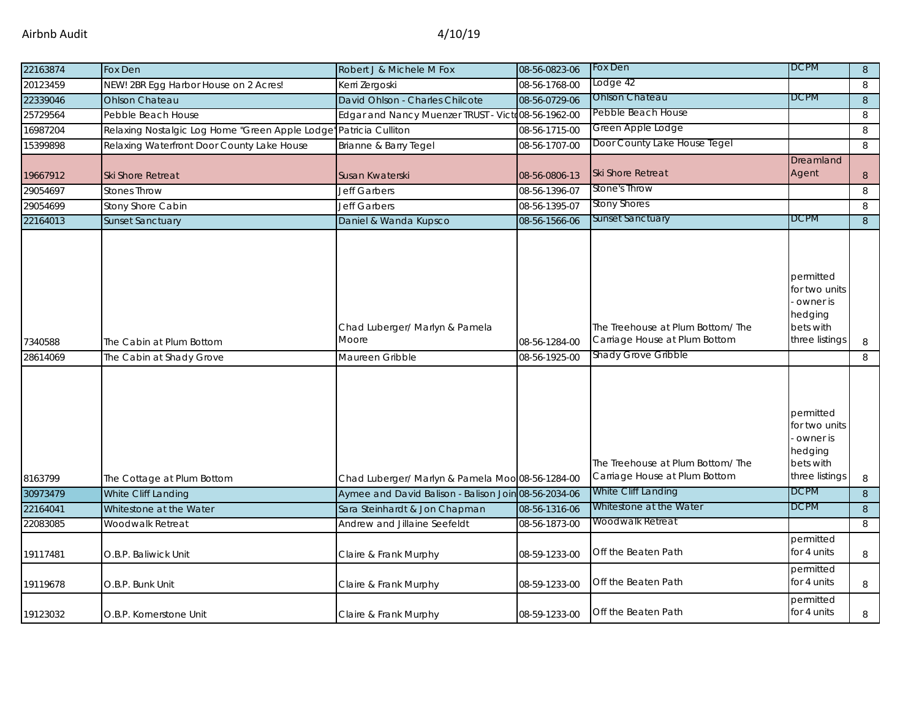| 22163874 | Fox Den                                         | Robert J & Michele M Fox                             | 08-56-0823-06 | Fox Den                                                           | <b>DCPM</b>                                                                      | 8       |
|----------|-------------------------------------------------|------------------------------------------------------|---------------|-------------------------------------------------------------------|----------------------------------------------------------------------------------|---------|
| 20123459 | NEW! 2BR Egg Harbor House on 2 Acres!           | Kerri Zergoski                                       | 08-56-1768-00 | Lodge 42                                                          |                                                                                  | 8       |
| 22339046 | <b>Ohlson Chateau</b>                           | David Ohlson - Charles Chilcote                      | 08-56-0729-06 | <b>Ohlson Chateau</b>                                             | <b>DCPM</b>                                                                      | 8       |
| 25729564 | Pebble Beach House                              | Edgar and Nancy Muenzer TRUST - Victo08-56-1962-00   |               | Pebble Beach House                                                |                                                                                  | 8       |
| 16987204 | Relaxing Nostalgic Log Home "Green Apple Lodge" | Patricia Culliton                                    | 08-56-1715-00 | Green Apple Lodge                                                 |                                                                                  | 8       |
| 15399898 | Relaxing Waterfront Door County Lake House      | Brianne & Barry Tegel                                | 08-56-1707-00 | Door County Lake House Tegel                                      |                                                                                  | 8       |
| 19667912 | <b>Ski Shore Retreat</b>                        | Susan Kwaterski                                      | 08-56-0806-13 | Ski Shore Retreat                                                 | Dreamland<br>Agent                                                               | 8       |
| 29054697 | <b>Stones Throw</b>                             | <b>Jeff Garbers</b>                                  | 08-56-1396-07 | Stone's Throw                                                     |                                                                                  | 8       |
| 29054699 | Stony Shore Cabin                               | Jeff Garbers                                         | 08-56-1395-07 | <b>Stony Shores</b>                                               |                                                                                  | 8       |
| 22164013 | <b>Sunset Sanctuary</b>                         | Daniel & Wanda Kupsco                                | 08-56-1566-06 | <b>Sunset Sanctuary</b>                                           | <b>DCPM</b>                                                                      | $\,8\,$ |
| 7340588  | The Cabin at Plum Bottom                        | Chad Luberger/ Marlyn & Pamela<br>Moore              | 08-56-1284-00 | The Treehouse at Plum Bottom/The<br>Carriage House at Plum Bottom | permitted<br>for two units<br>owner is<br>hedging<br>bets with<br>three listings | 8       |
| 28614069 | The Cabin at Shady Grove                        | Maureen Gribble                                      | 08-56-1925-00 | Shady Grove Gribble                                               |                                                                                  | 8       |
| 8163799  | The Cottage at Plum Bottom                      | Chad Luberger/ Marlyn & Pamela Moo 08-56-1284-00     |               | The Treehouse at Plum Bottom/The<br>Carriage House at Plum Bottom | permitted<br>for two units<br>owner is<br>hedging<br>bets with<br>three listings | 8       |
| 30973479 | White Cliff Landing                             | Aymee and David Balison - Balison Join 08-56-2034-06 |               | White Cliff Landing                                               | <b>DCPM</b>                                                                      | 8       |
| 22164041 | Whitestone at the Water                         | Sara Steinhardt & Jon Chapman                        | 08-56-1316-06 | Whitestone at the Water                                           | <b>DCPM</b>                                                                      | 8       |
| 22083085 | Woodwalk Retreat                                | Andrew and Jillaine Seefeldt                         | 08-56-1873-00 | Woodwalk Retreat                                                  |                                                                                  | 8       |
| 19117481 | O.B.P. Baliwick Unit                            | Claire & Frank Murphy                                | 08-59-1233-00 | Off the Beaten Path                                               | permitted<br>for 4 units                                                         | 8       |
| 19119678 | O.B.P. Bunk Unit                                | Claire & Frank Murphy                                | 08-59-1233-00 | Off the Beaten Path                                               | permitted<br>for 4 units                                                         | 8       |
| 19123032 | O.B.P. Kornerstone Unit                         | Claire & Frank Murphy                                | 08-59-1233-00 | Off the Beaten Path                                               | permitted<br>for 4 units                                                         | 8       |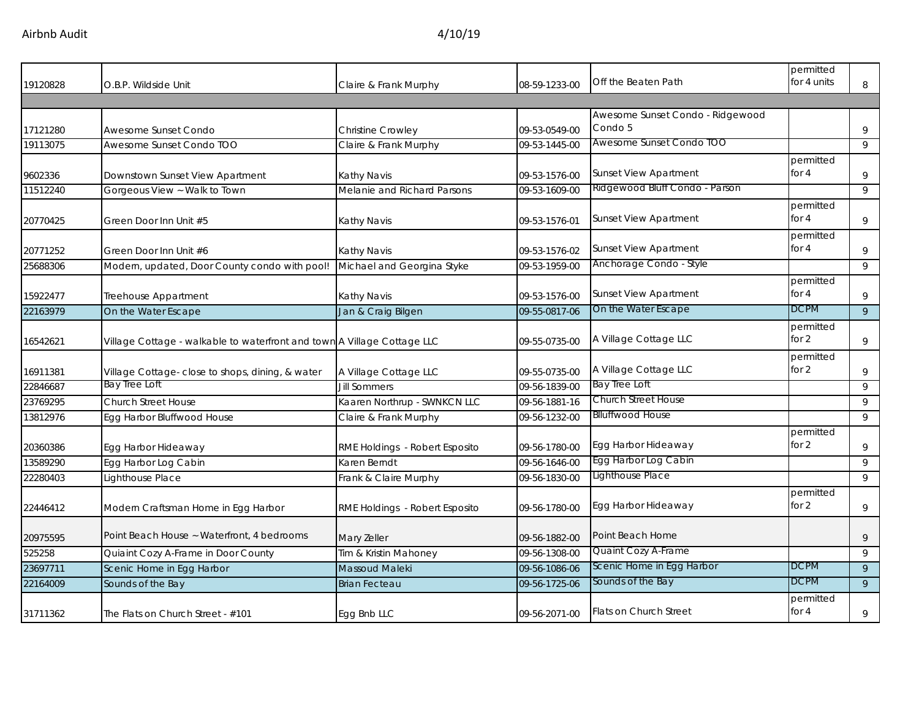Airbnb Audit 4/10/19

| 19120828 | O.B.P. Wildside Unit                                                    | Claire & Frank Murphy          | 08-59-1233-00 | Off the Beaten Path                         | permitted<br>for 4 units | 8              |
|----------|-------------------------------------------------------------------------|--------------------------------|---------------|---------------------------------------------|--------------------------|----------------|
|          |                                                                         |                                |               |                                             |                          |                |
| 17121280 | Awesome Sunset Condo                                                    | Christine Crowley              | 09-53-0549-00 | Awesome Sunset Condo - Ridgewood<br>Condo 5 |                          | 9              |
| 19113075 | Awesome Sunset Condo TOO                                                | Claire & Frank Murphy          | 09-53-1445-00 | Awesome Sunset Condo TOO                    |                          | 9              |
| 9602336  | Downstown Sunset View Apartment                                         | Kathy Navis                    | 09-53-1576-00 | <b>Sunset View Apartment</b>                | permitted<br>for $4$     | 9              |
| 11512240 | Gorgeous View ~ Walk to Town                                            | Melanie and Richard Parsons    | 09-53-1609-00 | Ridgewood Bluff Condo - Parson              |                          | 9              |
| 20770425 | Green Door Inn Unit #5                                                  | <b>Kathy Navis</b>             | 09-53-1576-01 | <b>Sunset View Apartment</b>                | permitted<br>for 4       | 9              |
| 20771252 | Green Door Inn Unit #6                                                  | Kathy Navis                    | 09-53-1576-02 | <b>Sunset View Apartment</b>                | permitted<br>for 4       | 9              |
| 25688306 | Modern, updated, Door County condo with pool!                           | Michael and Georgina Styke     | 09-53-1959-00 | Anchorage Condo - Style                     |                          | 9              |
| 15922477 | Treehouse Appartment                                                    | Kathy Navis                    | 09-53-1576-00 | <b>Sunset View Apartment</b>                | permitted<br>for 4       | 9              |
| 22163979 | On the Water Escape                                                     | Jan & Craig Bilgen             | 09-55-0817-06 | On the Water Escape                         | <b>DCPM</b>              | $\overline{9}$ |
| 16542621 | Village Cottage - walkable to waterfront and town A Village Cottage LLC |                                | 09-55-0735-00 | A Village Cottage LLC                       | permitted<br>for $2$     | 9              |
| 16911381 | Village Cottage- close to shops, dining, & water                        | A Village Cottage LLC          | 09-55-0735-00 | A Village Cottage LLC                       | permitted<br>for 2       | 9              |
| 22846687 | Bay Tree Loft                                                           | <b>Jill Sommers</b>            | 09-56-1839-00 | Bay Tree Loft                               |                          | 9              |
| 23769295 | <b>Church Street House</b>                                              | Kaaren Northrup - SWNKCN LLC   | 09-56-1881-16 | <b>Church Street House</b>                  |                          | 9              |
| 13812976 | Egg Harbor Bluffwood House                                              | Claire & Frank Murphy          | 09-56-1232-00 | <b>Blluffwood House</b>                     |                          | 9              |
| 20360386 | Egg Harbor Hideaway                                                     | RME Holdings - Robert Esposito | 09-56-1780-00 | Egg Harbor Hideaway                         | permitted<br>for 2       | 9              |
| 13589290 | Egg Harbor Log Cabin                                                    | Karen Berndt                   | 09-56-1646-00 | Egg Harbor Log Cabin                        |                          | 9              |
| 22280403 | Lighthouse Place                                                        | Frank & Claire Murphy          | 09-56-1830-00 | Lighthouse Place                            |                          | 9              |
| 22446412 | Modern Craftsman Home in Egg Harbor                                     | RME Holdings - Robert Esposito | 09-56-1780-00 | Egg Harbor Hideaway                         | permitted<br>for 2       | 9              |
| 20975595 | Point Beach House ~ Waterfront, 4 bedrooms                              | Mary Zeller                    | 09-56-1882-00 | Point Beach Home                            |                          | 9              |
| 525258   | Quiaint Cozy A-Frame in Door County                                     | Tim & Kristin Mahoney          | 09-56-1308-00 | Quaint Cozy A-Frame                         |                          | 9              |
| 23697711 | Scenic Home in Egg Harbor                                               | Massoud Maleki                 | 09-56-1086-06 | Scenic Home in Egg Harbor                   | <b>DCPM</b>              | 9              |
| 22164009 | Sounds of the Bay                                                       | <b>Brian Fecteau</b>           | 09-56-1725-06 | Sounds of the Bay                           | <b>DCPM</b>              | 9              |
| 31711362 | The Flats on Church Street - #101                                       | Egg Bnb LLC                    | 09-56-2071-00 | <b>Flats on Church Street</b>               | permitted<br>for 4       | 9              |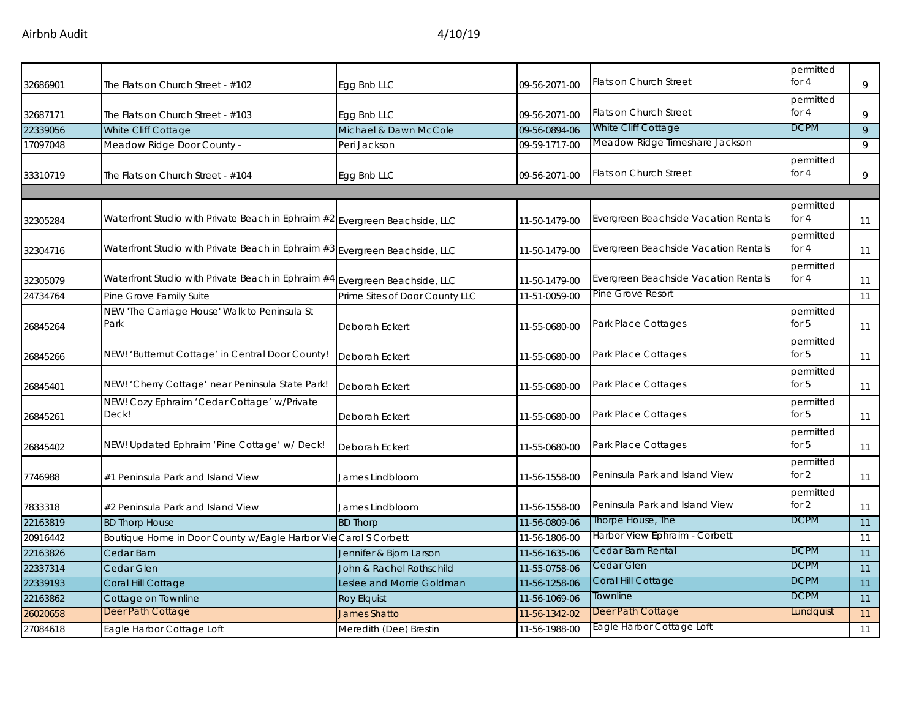| 32686901 | The Flats on Church Street - #102                                           | Egg Bnb LLC                    | 09-56-2071-00 | Flats on Church Street               | permitted<br>for 4   | 9  |
|----------|-----------------------------------------------------------------------------|--------------------------------|---------------|--------------------------------------|----------------------|----|
| 32687171 | The Flats on Church Street - #103                                           | Egg Bnb LLC                    | 09-56-2071-00 | Flats on Church Street               | permitted<br>for 4   | 9  |
| 22339056 | White Cliff Cottage                                                         | Michael & Dawn McCole          | 09-56-0894-06 | White Cliff Cottage                  | <b>DCPM</b>          | 9  |
| 17097048 | Meadow Ridge Door County -                                                  | Peri Jackson                   | 09-59-1717-00 | Meadow Ridge Timeshare Jackson       |                      | 9  |
| 33310719 | The Flats on Church Street - #104                                           | Egg Bnb LLC                    | 09-56-2071-00 | Flats on Church Street               | permitted<br>for 4   | 9  |
|          |                                                                             |                                |               |                                      |                      |    |
| 32305284 | Waterfront Studio with Private Beach in Ephraim #2 Evergreen Beachside, LLC |                                | 11-50-1479-00 | Evergreen Beachside Vacation Rentals | permitted<br>for 4   | 11 |
| 32304716 | Waterfront Studio with Private Beach in Ephraim #3 Evergreen Beachside, LLC |                                | 11-50-1479-00 | Evergreen Beachside Vacation Rentals | permitted<br>for $4$ | 11 |
| 32305079 | Waterfront Studio with Private Beach in Ephraim #4 Evergreen Beachside, LLC |                                | 11-50-1479-00 | Evergreen Beachside Vacation Rentals | permitted<br>for 4   | 11 |
| 24734764 | Pine Grove Family Suite                                                     | Prime Sites of Door County LLC | 11-51-0059-00 | Pine Grove Resort                    |                      | 11 |
| 26845264 | NEW 'The Carriage House' Walk to Peninsula St<br>Park                       | Deborah Eckert                 | 11-55-0680-00 | Park Place Cottages                  | permitted<br>for $5$ | 11 |
| 26845266 | NEW! 'Butternut Cottage' in Central Door County!                            | Deborah Eckert                 | 11-55-0680-00 | Park Place Cottages                  | permitted<br>for $5$ | 11 |
| 26845401 | NEW! 'Cherry Cottage' near Peninsula State Park!                            | Deborah Eckert                 | 11-55-0680-00 | Park Place Cottages                  | permitted<br>for 5   | 11 |
| 26845261 | NEW! Cozy Ephraim 'Cedar Cottage' w/Private<br>Deck!                        | Deborah Eckert                 | 11-55-0680-00 | Park Place Cottages                  | permitted<br>for $5$ | 11 |
| 26845402 | NEW! Updated Ephraim 'Pine Cottage' w/ Deck!                                | Deborah Eckert                 | 11-55-0680-00 | Park Place Cottages                  | permitted<br>for 5   | 11 |
| 7746988  | #1 Peninsula Park and Island View                                           | James Lindbloom                | 11-56-1558-00 | Peninsula Park and Island View       | permitted<br>for 2   | 11 |
| 7833318  | #2 Peninsula Park and Island View                                           | James Lindbloom                | 11-56-1558-00 | Peninsula Park and Island View       | permitted<br>for 2   | 11 |
| 22163819 | <b>BD Thorp House</b>                                                       | <b>BD Thorp</b>                | 11-56-0809-06 | Thorpe House, The                    | <b>DCPM</b>          | 11 |
| 20916442 | Boutique Home in Door County w/Eagle Harbor Vie                             | Carol S Corbett                | 11-56-1806-00 | Harbor View Ephraim - Corbett        |                      | 11 |
| 22163826 | Cedar Barn                                                                  | Jennifer & Bjorn Larson        | 11-56-1635-06 | Cedar Barn Rental                    | <b>DCPM</b>          | 11 |
| 22337314 | Cedar Glen                                                                  | John & Rachel Rothschild       | 11-55-0758-06 | Cedar Glen                           | <b>DCPM</b>          | 11 |
| 22339193 | Coral Hill Cottage                                                          | Leslee and Morrie Goldman      | 11-56-1258-06 | Coral Hill Cottage                   | <b>DCPM</b>          | 11 |
| 22163862 | Cottage on Townline                                                         | <b>Roy Elquist</b>             | 11-56-1069-06 | Townline                             | <b>DCPM</b>          | 11 |
| 26020658 | Deer Path Cottage                                                           | <b>James Shatto</b>            | 11-56-1342-02 | Deer Path Cottage                    | Lundquist            | 11 |
| 27084618 | Eagle Harbor Cottage Loft                                                   | Meredith (Dee) Brestin         | 11-56-1988-00 | Eagle Harbor Cottage Loft            |                      | 11 |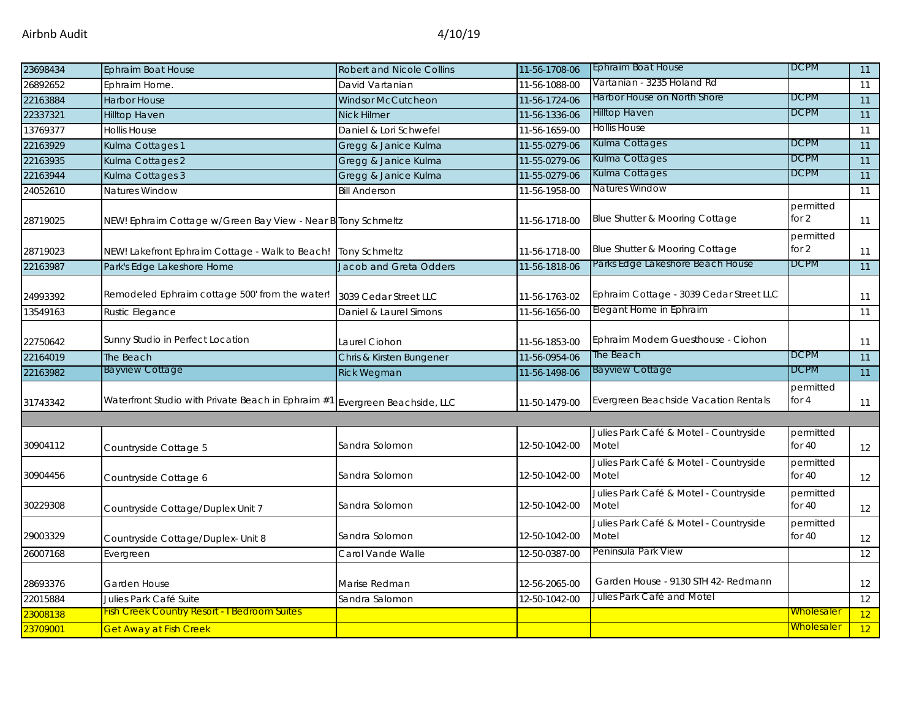| 23698434 | <b>Ephraim Boat House</b>                                    | <b>Robert and Nicole Collins</b> | 11-56-1708-06 | Ephraim Boat House                              | <b>DCPM</b>           | 11              |
|----------|--------------------------------------------------------------|----------------------------------|---------------|-------------------------------------------------|-----------------------|-----------------|
| 26892652 | Ephraim Home.                                                | David Vartanian                  | 11-56-1088-00 | Vartanian - 3235 Holand Rd                      |                       | 11              |
| 22163884 | <b>Harbor House</b>                                          | <b>Windsor McCutcheon</b>        | 11-56-1724-06 | Harbor House on North Shore                     | <b>DCPM</b>           | 11              |
| 22337321 | <b>Hilltop Haven</b>                                         | <b>Nick Hilmer</b>               | 11-56-1336-06 | <b>Hilltop Haven</b>                            | <b>DCPM</b>           | 11              |
| 13769377 | <b>Hollis House</b>                                          | Daniel & Lori Schwefel           | 11-56-1659-00 | <b>Hollis House</b>                             |                       | 11              |
| 22163929 | Kulma Cottages 1                                             | Gregg & Janice Kulma             | 11-55-0279-06 | Kulma Cottages                                  | <b>DCPM</b>           | 11              |
| 22163935 | Kulma Cottages 2                                             | Gregg & Janice Kulma             | 11-55-0279-06 | Kulma Cottages                                  | <b>DCPM</b>           | 11              |
| 22163944 | Kulma Cottages 3                                             | Gregg & Janice Kulma             | 11-55-0279-06 | Kulma Cottages                                  | <b>DCPM</b>           | $\overline{11}$ |
| 24052610 | Natures Window                                               | <b>Bill Anderson</b>             | 11-56-1958-00 | Natures Window                                  |                       | 11              |
| 28719025 | NEW! Ephraim Cottage w/Green Bay View - Near B Tony Schmeltz |                                  | 11-56-1718-00 | Blue Shutter & Mooring Cottage                  | permitted<br>for $2$  | 11              |
| 28719023 | NEW! Lakefront Ephraim Cottage - Walk to Beach!              | <b>Tony Schmeltz</b>             | 11-56-1718-00 | Blue Shutter & Mooring Cottage                  | permitted<br>for 2    | 11              |
| 22163987 | Park's Edge Lakeshore Home                                   | Jacob and Greta Odders           | 11-56-1818-06 | Parks Edge Lakeshore Beach House                | <b>DCPM</b>           | 11              |
| 24993392 | Remodeled Ephraim cottage 500' from the water!               | 3039 Cedar Street LLC            | 11-56-1763-02 | Ephraim Cottage - 3039 Cedar Street LLC         |                       | 11              |
| 13549163 | Rustic Elegance                                              | Daniel & Laurel Simons           | 11-56-1656-00 | Elegant Home in Ephraim                         |                       | 11              |
| 22750642 | Sunny Studio in Perfect Location                             | Laurel Ciohon                    | 11-56-1853-00 | Ephraim Modern Guesthouse - Ciohon              |                       | 11              |
| 22164019 | The Beach                                                    | Chris & Kirsten Bungener         | 11-56-0954-06 | The Beach                                       | <b>DCPM</b>           | 11              |
| 22163982 | <b>Bayview Cottage</b>                                       | <b>Rick Wegman</b>               | 11-56-1498-06 | <b>Bayview Cottage</b>                          | <b>DCPM</b>           | 11              |
| 31743342 | Waterfront Studio with Private Beach in Ephraim #1           | Evergreen Beachside, LLC         | 11-50-1479-00 | Evergreen Beachside Vacation Rentals            | permitted<br>for $4$  | 11              |
| 30904112 | Countryside Cottage 5                                        | Sandra Solomon                   | 12-50-1042-00 | Julies Park Café & Motel - Countryside<br>Motel | permitted<br>for $40$ | 12              |
| 30904456 | Countryside Cottage 6                                        | Sandra Solomon                   | 12-50-1042-00 | Julies Park Café & Motel - Countryside<br>Motel | permitted<br>for $40$ | 12              |
| 30229308 | Countryside Cottage/Duplex Unit 7                            | Sandra Solomon                   | 12-50-1042-00 | Julies Park Café & Motel - Countryside<br>Motel | permitted<br>for $40$ | 12              |
| 29003329 | Countryside Cottage/Duplex- Unit 8                           | Sandra Solomon                   | 12-50-1042-00 | Julies Park Café & Motel - Countryside<br>Motel | permitted<br>for $40$ | 12              |
| 26007168 | Evergreen                                                    | Carol Vande Walle                | 12-50-0387-00 | Peninsula Park View                             |                       | 12              |
| 28693376 | Garden House                                                 | Marise Redman                    | 12-56-2065-00 | Garden House - 9130 STH 42- Redmann             |                       | 12              |
| 22015884 | Julies Park Café Suite                                       | Sandra Salomon                   | 12-50-1042-00 | Julies Park Café and Motel                      |                       | 12              |
| 23008138 | <b>Fish Creek Country Resort - I Bedroom Suites</b>          |                                  |               |                                                 | <u>Wholesaler</u>     | 12              |
| 23709001 | <b>Get Away at Fish Creek</b>                                |                                  |               |                                                 | Wholesaler            | 12              |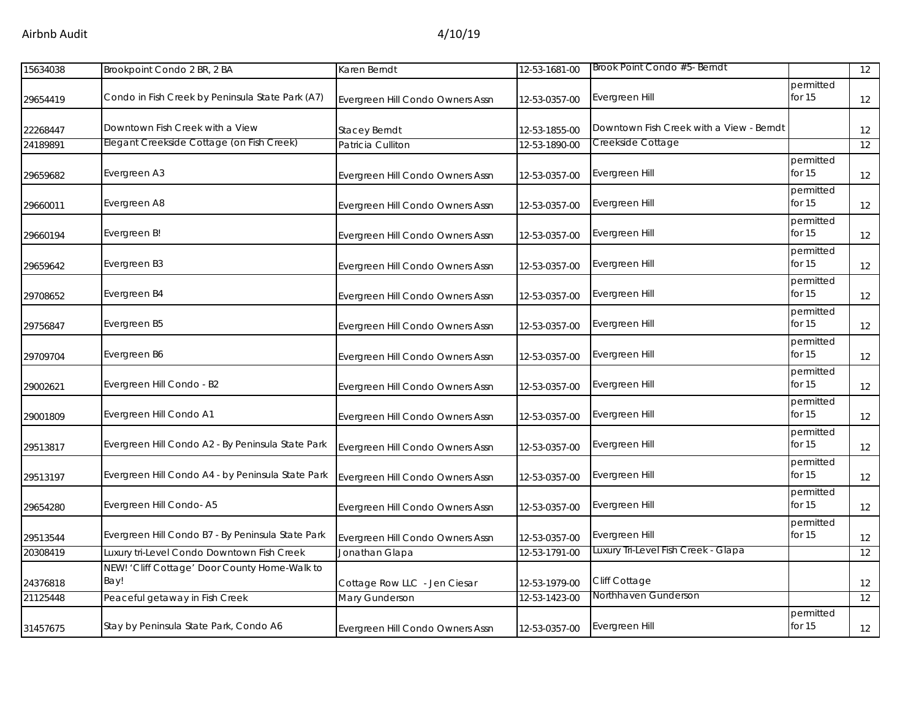| 15634038 | Brookpoint Condo 2 BR, 2 BA                           | Karen Berndt                     | 12-53-1681-00 | Brook Point Condo #5- Berndt             |                       | 12 |
|----------|-------------------------------------------------------|----------------------------------|---------------|------------------------------------------|-----------------------|----|
| 29654419 | Condo in Fish Creek by Peninsula State Park (A7)      | Evergreen Hill Condo Owners Assn | 12-53-0357-00 | Evergreen Hill                           | permitted<br>for 15   | 12 |
| 22268447 | Downtown Fish Creek with a View                       | <b>Stacey Berndt</b>             | 12-53-1855-00 | Downtown Fish Creek with a View - Berndt |                       | 12 |
| 24189891 | Elegant Creekside Cottage (on Fish Creek)             | Patricia Culliton                | 12-53-1890-00 | Creekside Cottage                        |                       | 12 |
| 29659682 | Evergreen A3                                          | Evergreen Hill Condo Owners Assn | 12-53-0357-00 | Evergreen Hill                           | permitted<br>for $15$ | 12 |
| 29660011 | Evergreen A8                                          | Evergreen Hill Condo Owners Assn | 12-53-0357-00 | Evergreen Hill                           | permitted<br>for 15   | 12 |
| 29660194 | Evergreen B!                                          | Evergreen Hill Condo Owners Assn | 12-53-0357-00 | Evergreen Hill                           | permitted<br>for 15   | 12 |
| 29659642 | Evergreen B3                                          | Evergreen Hill Condo Owners Assn | 12-53-0357-00 | Evergreen Hill                           | permitted<br>for 15   | 12 |
| 29708652 | Evergreen B4                                          | Evergreen Hill Condo Owners Assn | 12-53-0357-00 | Evergreen Hill                           | permitted<br>for 15   | 12 |
| 29756847 | Evergreen B5                                          | Evergreen Hill Condo Owners Assn | 12-53-0357-00 | Evergreen Hill                           | permitted<br>for 15   | 12 |
| 29709704 | Evergreen B6                                          | Evergreen Hill Condo Owners Assn | 12-53-0357-00 | Evergreen Hill                           | permitted<br>for 15   | 12 |
| 29002621 | Evergreen Hill Condo - B2                             | Evergreen Hill Condo Owners Assn | 12-53-0357-00 | Evergreen Hill                           | permitted<br>for 15   | 12 |
| 29001809 | Evergreen Hill Condo A1                               | Evergreen Hill Condo Owners Assn | 12-53-0357-00 | Evergreen Hill                           | permitted<br>for $15$ | 12 |
| 29513817 | Evergreen Hill Condo A2 - By Peninsula State Park     | Evergreen Hill Condo Owners Assn | 12-53-0357-00 | Evergreen Hill                           | permitted<br>for 15   | 12 |
| 29513197 | Evergreen Hill Condo A4 - by Peninsula State Park     | Evergreen Hill Condo Owners Assn | 12-53-0357-00 | Evergreen Hill                           | permitted<br>for $15$ | 12 |
| 29654280 | Evergreen Hill Condo-A5                               | Evergreen Hill Condo Owners Assn | 12-53-0357-00 | Evergreen Hill                           | permitted<br>for 15   | 12 |
| 29513544 | Evergreen Hill Condo B7 - By Peninsula State Park     | Evergreen Hill Condo Owners Assn | 12-53-0357-00 | Evergreen Hill                           | permitted<br>for 15   | 12 |
| 20308419 | Luxury tri-Level Condo Downtown Fish Creek            | Jonathan Glapa                   | 12-53-1791-00 | Luxury Tri-Level Fish Creek - Glapa      |                       | 12 |
| 24376818 | NEW! 'Cliff Cottage' Door County Home-Walk to<br>Bay! | Cottage Row LLC - Jen Ciesar     | 12-53-1979-00 | Cliff Cottage                            |                       | 12 |
| 21125448 | Peaceful getaway in Fish Creek                        | Mary Gunderson                   | 12-53-1423-00 | Northhaven Gunderson                     |                       | 12 |
| 31457675 | Stay by Peninsula State Park, Condo A6                | Evergreen Hill Condo Owners Assn | 12-53-0357-00 | Evergreen Hill                           | permitted<br>for $15$ | 12 |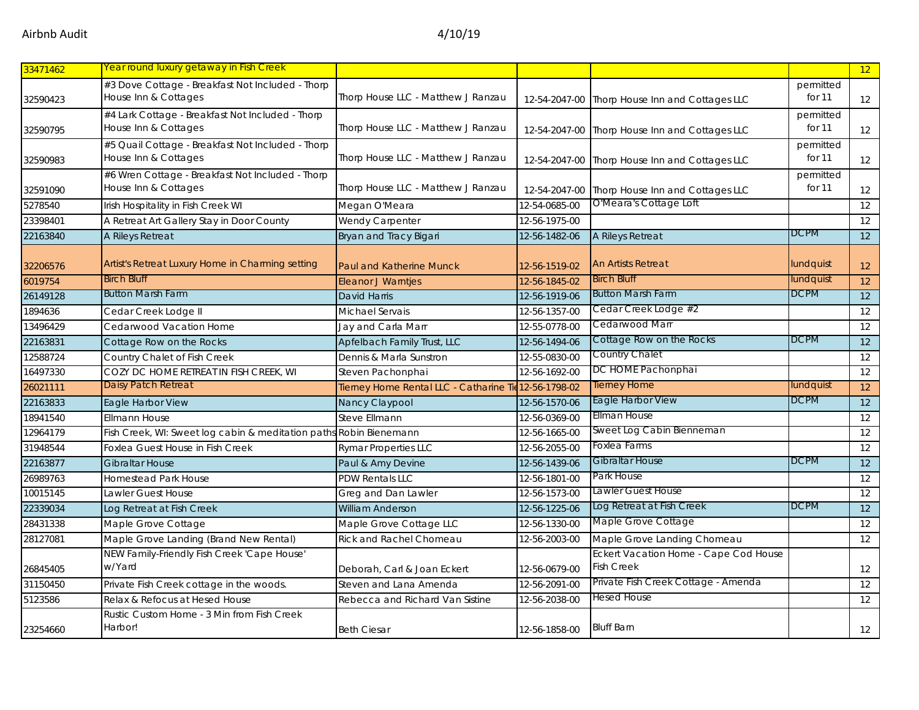| 33471462 | Year round luxury getaway in Fish Creek                                   |                                                       |               |                                                            |                     | 12              |
|----------|---------------------------------------------------------------------------|-------------------------------------------------------|---------------|------------------------------------------------------------|---------------------|-----------------|
| 32590423 | #3 Dove Cottage - Breakfast Not Included - Thorp<br>House Inn & Cottages  | Thorp House LLC - Matthew J Ranzau                    | 12-54-2047-00 | Thorp House Inn and Cottages LLC                           | permitted<br>for 11 | 12              |
| 32590795 | #4 Lark Cottage - Breakfast Not Included - Thorp<br>House Inn & Cottages  | Thorp House LLC - Matthew J Ranzau                    | 12-54-2047-00 | Thorp House Inn and Cottages LLC                           | permitted<br>for 11 | 12              |
| 32590983 | #5 Quail Cottage - Breakfast Not Included - Thorp<br>House Inn & Cottages | Thorp House LLC - Matthew J Ranzau                    | 12-54-2047-00 | Thorp House Inn and Cottages LLC                           | permitted<br>for 11 | 12              |
| 32591090 | #6 Wren Cottage - Breakfast Not Included - Thorp<br>House Inn & Cottages  | Thorp House LLC - Matthew J Ranzau                    | 12-54-2047-00 | Thorp House Inn and Cottages LLC                           | permitted<br>for 11 | 12              |
| 5278540  | Irish Hospitality in Fish Creek WI                                        | Megan O'Meara                                         | 12-54-0685-00 | O'Meara's Cottage Loft                                     |                     | 12              |
| 23398401 | A Retreat Art Gallery Stay in Door County                                 | Wendy Carpenter                                       | 12-56-1975-00 |                                                            |                     | 12              |
| 22163840 | A Rileys Retreat                                                          | Bryan and Tracy Bigari                                | 12-56-1482-06 | A Rileys Retreat                                           | <b>DCPM</b>         | 12              |
| 32206576 | Artist's Retreat Luxury Home in Charming setting                          | Paul and Katherine Munck                              | 12-56-1519-02 | <b>An Artists Retreat</b>                                  | lundquist           | 12              |
| 6019754  | <b>Birch Bluff</b>                                                        | <b>Eleanor J Warntjes</b>                             | 12-56-1845-02 | <b>Birch Bluff</b>                                         | lundquist           | 12              |
| 26149128 | <b>Button Marsh Farm</b>                                                  | <b>David Harris</b>                                   | 12-56-1919-06 | <b>Button Marsh Farm</b>                                   | <b>DCPM</b>         | $\overline{12}$ |
| 1894636  | Cedar Creek Lodge II                                                      | Michael Servais                                       | 12-56-1357-00 | Cedar Creek Lodge #2                                       |                     | 12              |
| 13496429 | Cedarwood Vacation Home                                                   | Jay and Carla Marr                                    | 12-55-0778-00 | Cedarwood Marr                                             |                     | 12              |
| 22163831 | Cottage Row on the Rocks                                                  | Apfelbach Family Trust, LLC                           | 12-56-1494-06 | Cottage Row on the Rocks                                   | <b>DCPM</b>         | 12              |
| 12588724 | Country Chalet of Fish Creek                                              | Dennis & Marla Sunstron                               | 12-55-0830-00 | Country Chalet                                             |                     | 12              |
| 16497330 | COZY DC HOME RETREAT IN FISH CREEK, WI                                    | Steven Pachonphai                                     | 12-56-1692-00 | DC HOME Pachonphai                                         |                     | 12              |
| 26021111 | Daisy Patch Retreat                                                       | Tierney Home Rental LLC - Catharine Tie 12-56-1798-02 |               | <b>Tierney Home</b>                                        | lundquist           | 12              |
| 22163833 | Eagle Harbor View                                                         | Nancy Claypool                                        | 12-56-1570-06 | <b>Eagle Harbor View</b>                                   | <b>DCPM</b>         | 12              |
| 18941540 | <b>Ellmann House</b>                                                      | <b>Steve Ellmann</b>                                  | 12-56-0369-00 | Ellman House                                               |                     | 12              |
| 12964179 | Fish Creek, WI: Sweet log cabin & meditation paths Robin Bienemann        |                                                       | 12-56-1665-00 | Sweet Log Cabin Bienneman                                  |                     | 12              |
| 31948544 | Foxlea Guest House in Fish Creek                                          | <b>Rymar Properties LLC</b>                           | 12-56-2055-00 | Foxlea Farms                                               |                     | 12              |
| 22163877 | <b>Gibraltar House</b>                                                    | Paul & Amy Devine                                     | 12-56-1439-06 | <b>Gibraltar House</b>                                     | <b>DCPM</b>         | 12              |
| 26989763 | <b>Homestead Park House</b>                                               | <b>PDW Rentals LLC</b>                                | 12-56-1801-00 | Park House                                                 |                     | 12              |
| 10015145 | Lawler Guest House                                                        | Greg and Dan Lawler                                   | 12-56-1573-00 | Lawler Guest House                                         |                     | 12              |
| 22339034 | Log Retreat at Fish Creek                                                 | <b>William Anderson</b>                               | 12-56-1225-06 | Log Retreat at Fish Creek                                  | <b>DCPM</b>         | 12              |
| 28431338 | Maple Grove Cottage                                                       | Maple Grove Cottage LLC                               | 12-56-1330-00 | Maple Grove Cottage                                        |                     | 12              |
| 28127081 | Maple Grove Landing (Brand New Rental)                                    | <b>Rick and Rachel Chomeau</b>                        | 12-56-2003-00 | Maple Grove Landing Chomeau                                |                     | 12              |
| 26845405 | NEW Family-Friendly Fish Creek 'Cape House'<br>w/Yard                     | Deborah, Carl & Joan Eckert                           | 12-56-0679-00 | Eckert Vacation Home - Cape Cod House<br><b>Fish Creek</b> |                     | 12              |
| 31150450 | Private Fish Creek cottage in the woods.                                  | Steven and Lana Amenda                                | 12-56-2091-00 | Private Fish Creek Cottage - Amenda                        |                     | 12              |
| 5123586  | Relax & Refocus at Hesed House                                            | Rebecca and Richard Van Sistine                       | 12-56-2038-00 | Hesed House                                                |                     | 12              |
| 23254660 | Rustic Custom Home - 3 Min from Fish Creek<br>Harbor!                     | <b>Beth Ciesar</b>                                    | 12-56-1858-00 | <b>Bluff Barn</b>                                          |                     | 12              |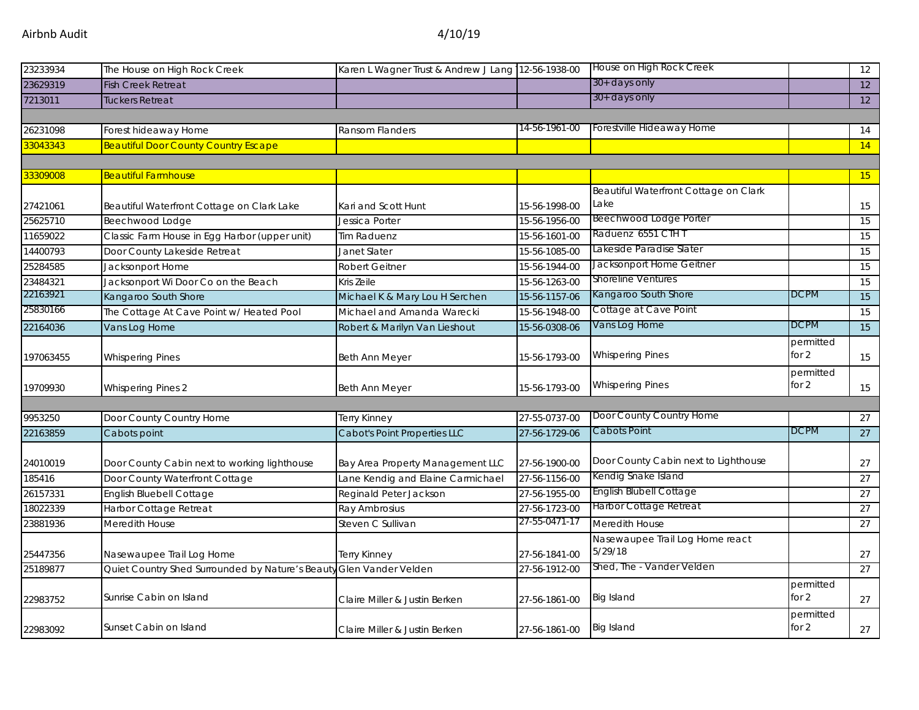| 23233934  | The House on High Rock Creek                                        | Karen L Wagner Trust & Andrew J Lang 12-56-1938-00 |               | House on High Rock Creek                      |             | 12 |
|-----------|---------------------------------------------------------------------|----------------------------------------------------|---------------|-----------------------------------------------|-------------|----|
|           | <b>Fish Creek Retreat</b>                                           |                                                    |               | 30+ days only                                 |             |    |
| 23629319  |                                                                     |                                                    |               | 30+ days only                                 |             | 12 |
| 7213011   | Tuckers Retreat                                                     |                                                    |               |                                               |             | 12 |
|           |                                                                     |                                                    | 14-56-1961-00 | Forestville Hideaway Home                     |             |    |
| 26231098  | Forest hideaway Home                                                | Ransom Flanders                                    |               |                                               |             | 14 |
| 33043343  | <b>Beautiful Door County Country Escape</b>                         |                                                    |               |                                               |             | 14 |
|           |                                                                     |                                                    |               |                                               |             |    |
| 33309008  | <b>Beautiful Farmhouse</b>                                          |                                                    |               |                                               |             | 15 |
|           |                                                                     |                                                    |               | Beautiful Waterfront Cottage on Clark<br>Lake |             |    |
| 27421061  | Beautiful Waterfront Cottage on Clark Lake                          | Kari and Scott Hunt                                | 15-56-1998-00 | Beechwood Lodge Porter                        |             | 15 |
| 25625710  | Beechwood Lodge                                                     | Jessica Porter                                     | 15-56-1956-00 | Raduenz 6551 CTH T                            |             | 15 |
| 11659022  | Classic Farm House in Egg Harbor (upper unit)                       | <b>Tim Raduenz</b>                                 | 15-56-1601-00 | Lakeside Paradise Slater                      |             | 15 |
| 14400793  | Door County Lakeside Retreat                                        | Janet Slater                                       | 15-56-1085-00 | Jacksonport Home Geitner                      |             | 15 |
| 25284585  | Jacksonport Home                                                    | <b>Robert Geitner</b>                              | 15-56-1944-00 | Shoreline Ventures                            |             | 15 |
| 23484321  | Jacksonport Wi Door Co on the Beach                                 | Kris Zeile                                         | 15-56-1263-00 |                                               |             | 15 |
| 22163921  | Kangaroo South Shore                                                | Michael K & Mary Lou H Serchen                     | 15-56-1157-06 | Kangaroo South Shore                          | <b>DCPM</b> | 15 |
| 25830166  | The Cottage At Cave Point w/ Heated Pool                            | Michael and Amanda Warecki                         | 15-56-1948-00 | Cottage at Cave Point                         |             | 15 |
| 22164036  | Vans Log Home                                                       | Robert & Marilyn Van Lieshout                      | 15-56-0308-06 | Vans Log Home                                 | <b>DCPM</b> | 15 |
|           |                                                                     |                                                    |               |                                               | permitted   |    |
| 197063455 | <b>Whispering Pines</b>                                             | Beth Ann Meyer                                     | 15-56-1793-00 | <b>Whispering Pines</b>                       | for $2$     | 15 |
|           |                                                                     |                                                    |               |                                               | permitted   |    |
| 19709930  | <b>Whispering Pines 2</b>                                           | Beth Ann Meyer                                     | 15-56-1793-00 | <b>Whispering Pines</b>                       | for 2       | 15 |
|           |                                                                     |                                                    |               |                                               |             |    |
| 9953250   | Door County Country Home                                            | <b>Terry Kinney</b>                                | 27-55-0737-00 | Door County Country Home                      |             | 27 |
| 22163859  | Cabots point                                                        | Cabot's Point Properties LLC                       | 27-56-1729-06 | Cabots Point                                  | <b>DCPM</b> | 27 |
|           |                                                                     |                                                    |               |                                               |             |    |
| 24010019  | Door County Cabin next to working lighthouse                        | Bay Area Property Management LLC                   | 27-56-1900-00 | Door County Cabin next to Lighthouse          |             | 27 |
| 185416    | Door County Waterfront Cottage                                      | Lane Kendig and Elaine Carmichael                  | 27-56-1156-00 | Kendig Snake Island                           |             | 27 |
| 26157331  | <b>English Bluebell Cottage</b>                                     | Reginald Peter Jackson                             | 27-56-1955-00 | <b>English Blubell Cottage</b>                |             | 27 |
| 18022339  | Harbor Cottage Retreat                                              | Ray Ambrosius                                      | 27-56-1723-00 | Harbor Cottage Retreat                        |             | 27 |
| 23881936  | Meredith House                                                      | Steven C Sullivan                                  | 27-55-0471-17 | Meredith House                                |             | 27 |
|           |                                                                     |                                                    |               | Nasewaupee Trail Log Home react               |             |    |
| 25447356  | Nasewaupee Trail Log Home                                           | <b>Terry Kinney</b>                                | 27-56-1841-00 | 5/29/18                                       |             | 27 |
| 25189877  | Quiet Country Shed Surrounded by Nature's Beauty Glen Vander Velden |                                                    | 27-56-1912-00 | Shed, The - Vander Velden                     |             | 27 |
|           |                                                                     |                                                    |               |                                               | permitted   |    |
| 22983752  | Sunrise Cabin on Island                                             | Claire Miller & Justin Berken                      | 27-56-1861-00 | <b>Big Island</b>                             | for $2$     | 27 |
|           |                                                                     |                                                    |               |                                               | permitted   |    |
| 22983092  | Sunset Cabin on Island                                              | Claire Miller & Justin Berken                      | 27-56-1861-00 | <b>Big Island</b>                             | for $2$     | 27 |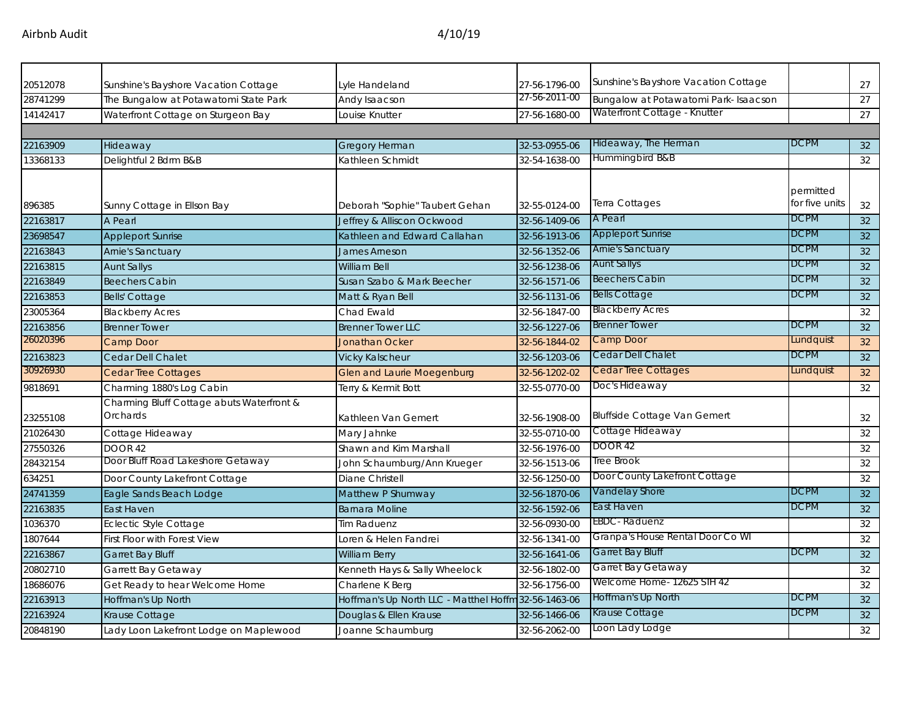| 20512078 |                                                                               | Lyle Handeland                                       | 27-56-1796-00 | Sunshine's Bayshore Vacation Cottage  |                             | 27 |
|----------|-------------------------------------------------------------------------------|------------------------------------------------------|---------------|---------------------------------------|-----------------------------|----|
| 28741299 | Sunshine's Bayshore Vacation Cottage<br>The Bungalow at Potawatomi State Park | Andy Isaacson                                        | 27-56-2011-00 | Bungalow at Potawatomi Park- Isaacson |                             | 27 |
| 14142417 | Waterfront Cottage on Sturgeon Bay                                            | Louise Knutter                                       | 27-56-1680-00 | Waterfront Cottage - Knutter          |                             | 27 |
|          |                                                                               |                                                      |               |                                       |                             |    |
| 22163909 | Hideaway                                                                      | <b>Gregory Herman</b>                                | 32-53-0955-06 | Hideaway, The Herman                  | DCPM                        | 32 |
| 13368133 | Delightful 2 Bdrm B&B                                                         | Kathleen Schmidt                                     | 32-54-1638-00 | Hummingbird B&B                       |                             | 32 |
| 896385   | Sunny Cottage in Ellson Bay                                                   | Deborah "Sophie" Taubert Gehan                       | 32-55-0124-00 | Terra Cottages                        | permitted<br>for five units | 32 |
| 22163817 | A Pearl                                                                       | Jeffrey & Alliscon Ockwood                           | 32-56-1409-06 | A Pearl                               | <b>DCPM</b>                 | 32 |
| 23698547 | <b>Appleport Sunrise</b>                                                      | Kathleen and Edward Callahan                         | 32-56-1913-06 | <b>Appleport Sunrise</b>              | <b>DCPM</b>                 | 32 |
| 22163843 | <b>Arnie's Sanctuary</b>                                                      | James Arneson                                        | 32-56-1352-06 | <b>Arnie's Sanctuary</b>              | <b>DCPM</b>                 | 32 |
| 22163815 | <b>Aunt Sallys</b>                                                            | <b>William Bell</b>                                  | 32-56-1238-06 | <b>Aunt Sallys</b>                    | <b>DCPM</b>                 | 32 |
| 22163849 | <b>Beechers Cabin</b>                                                         | Susan Szabo & Mark Beecher                           | 32-56-1571-06 | <b>Beechers Cabin</b>                 | <b>DCPM</b>                 | 32 |
| 22163853 | <b>Bells' Cottage</b>                                                         | Matt & Ryan Bell                                     | 32-56-1131-06 | <b>Bells Cottage</b>                  | <b>DCPM</b>                 | 32 |
| 23005364 | <b>Blackberry Acres</b>                                                       | Chad Ewald                                           | 32-56-1847-00 | <b>Blackberry Acres</b>               |                             | 32 |
| 22163856 | <b>Brenner Tower</b>                                                          | <b>Brenner Tower LLC</b>                             | 32-56-1227-06 | <b>Brenner Tower</b>                  | <b>DCPM</b>                 | 32 |
| 26020396 | Camp Door                                                                     | <b>Jonathan Ocker</b>                                | 32-56-1844-02 | Camp Door                             | Lundquist                   | 32 |
| 22163823 | Cedar Dell Chalet                                                             | <b>Vicky Kalscheur</b>                               | 32-56-1203-06 | Cedar Dell Chalet                     | <b>DCPM</b>                 | 32 |
| 30926930 | <b>Cedar Tree Cottages</b>                                                    | <b>Glen and Laurie Moegenburg</b>                    | 32-56-1202-02 | Cedar Tree Cottages                   | Lundquist                   | 32 |
| 9818691  | Charming 1880's Log Cabin                                                     | Terry & Kermit Bott                                  | 32-55-0770-00 | Doc's Hideaway                        |                             | 32 |
| 23255108 | Charming Bluff Cottage abuts Waterfront &<br>Orchards                         | Kathleen Van Gemert                                  | 32-56-1908-00 | <b>Bluffside Cottage Van Gemert</b>   |                             | 32 |
| 21026430 | Cottage Hideaway                                                              | Mary Jahnke                                          | 32-55-0710-00 | Cottage Hideaway                      |                             | 32 |
| 27550326 | <b>DOOR 42</b>                                                                | Shawn and Kim Marshall                               | 32-56-1976-00 | DOOR 42                               |                             | 32 |
| 28432154 | Door Bluff Road Lakeshore Getaway                                             | John Schaumburg/Ann Krueger                          | 32-56-1513-06 | Tree Brook                            |                             | 32 |
| 634251   | Door County Lakefront Cottage                                                 | Diane Christell                                      | 32-56-1250-00 | Door County Lakefront Cottage         |                             | 32 |
| 24741359 | Eagle Sands Beach Lodge                                                       | Matthew P Shumway                                    | 32-56-1870-06 | Vandelay Shore                        | <b>DCPM</b>                 | 32 |
| 22163835 | East Haven                                                                    | <b>Barnara Moline</b>                                | 32-56-1592-06 | East Haven                            | <b>DCPM</b>                 | 32 |
| 1036370  | <b>Eclectic Style Cottage</b>                                                 | <b>Tim Raduenz</b>                                   | 32-56-0930-00 | <b>EBDC</b> -Raduenz                  |                             | 32 |
| 1807644  | <b>First Floor with Forest View</b>                                           | Loren & Helen Fandrei                                | 32-56-1341-00 | Granpa's House Rental Door Co WI      |                             | 32 |
| 22163867 | <b>Garret Bay Bluff</b>                                                       | <b>William Berry</b>                                 | 32-56-1641-06 | Garret Bay Bluff                      | <b>DCPM</b>                 | 32 |
| 20802710 | Garrett Bay Getaway                                                           | Kenneth Hays & Sally Wheelock                        | 32-56-1802-00 | Garret Bay Getaway                    |                             | 32 |
| 18686076 | Get Ready to hear Welcome Home                                                | Charlene K Berg                                      | 32-56-1756-00 | Welcome Home- 12625 STH 42            |                             | 32 |
| 22163913 | Hoffman's Up North                                                            | Hoffman's Up North LLC - Matthel Hoffm 32-56-1463-06 |               | Hoffman's Up North                    | <b>DCPM</b>                 | 32 |
| 22163924 | Krause Cottage                                                                | Douglas & Ellen Krause                               | 32-56-1466-06 | Krause Cottage                        | <b>DCPM</b>                 | 32 |
| 20848190 | Lady Loon Lakefront Lodge on Maplewood                                        | Joanne Schaumburg                                    | 32-56-2062-00 | Loon Lady Lodge                       |                             | 32 |
|          |                                                                               |                                                      |               |                                       |                             |    |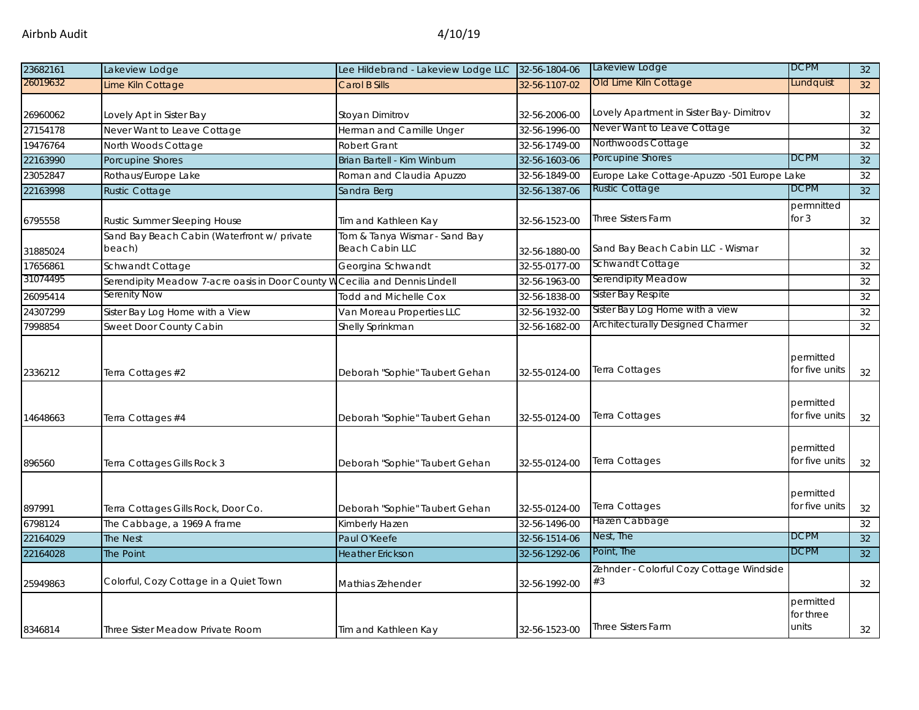| 23682161 | Lakeview Lodge                                        | Lee Hildebrand - Lakeview Lodge LLC                     | 32-56-1804-06 | Lakeview Lodge                                 | <b>DCPM</b>                     | 32 <sup>2</sup> |
|----------|-------------------------------------------------------|---------------------------------------------------------|---------------|------------------------------------------------|---------------------------------|-----------------|
| 26019632 | Lime Kiln Cottage                                     | Carol B Sills                                           | 32-56-1107-02 | Old Lime Kiln Cottage                          | Lundquist                       | 32              |
|          |                                                       |                                                         |               |                                                |                                 |                 |
| 26960062 | Lovely Apt in Sister Bay                              | Stoyan Dimitrov                                         | 32-56-2006-00 | Lovely Apartment in Sister Bay-Dimitrov        |                                 | 32              |
| 27154178 | Never Want to Leave Cottage                           | Herman and Camille Unger                                | 32-56-1996-00 | Never Want to Leave Cottage                    |                                 | 32              |
| 19476764 | North Woods Cottage                                   | <b>Robert Grant</b>                                     | 32-56-1749-00 | Northwoods Cottage                             |                                 | 32              |
| 22163990 | Porcupine Shores                                      | Brian Bartell - Kim Winburn                             | 32-56-1603-06 | Porcupine Shores                               | <b>DCPM</b>                     | 32              |
| 23052847 | Rothaus/Europe Lake                                   | Roman and Claudia Apuzzo                                | 32-56-1849-00 | Europe Lake Cottage-Apuzzo -501 Europe Lake    |                                 | 32              |
| 22163998 | <b>Rustic Cottage</b>                                 | Sandra Berg                                             | 32-56-1387-06 | <b>Rustic Cottage</b>                          | <b>DCPM</b>                     | 32              |
| 6795558  | <b>Rustic Summer Sleeping House</b>                   | Tim and Kathleen Kay                                    | 32-56-1523-00 | <b>Three Sisters Farm</b>                      | permnitted<br>for $3$           | 32              |
| 31885024 | Sand Bay Beach Cabin (Waterfront w/ private<br>beach) | Tom & Tanya Wismar - Sand Bay<br><b>Beach Cabin LLC</b> | 32-56-1880-00 | Sand Bay Beach Cabin LLC - Wismar              |                                 | 32              |
| 17656861 | Schwandt Cottage                                      | Georgina Schwandt                                       | 32-55-0177-00 | Schwandt Cottage                               |                                 | 32              |
| 31074495 | Serendipity Meadow 7-acre oasis in Door County V      | Cecilia and Dennis Lindell                              | 32-56-1963-00 | Serendipity Meadow                             |                                 | 32              |
| 26095414 | Serenity Now                                          | <b>Todd and Michelle Cox</b>                            | 32-56-1838-00 | Sister Bay Respite                             |                                 | 32              |
| 24307299 | Sister Bay Log Home with a View                       | Van Moreau Properties LLC                               | 32-56-1932-00 | Sister Bay Log Home with a view                |                                 | 32              |
| 7998854  | Sweet Door County Cabin                               | Shelly Sprinkman                                        | 32-56-1682-00 | <b>Architecturally Designed Charmer</b>        |                                 | 32              |
| 2336212  | Terra Cottages #2                                     | Deborah "Sophie" Taubert Gehan                          | 32-55-0124-00 | Terra Cottages                                 | permitted<br>for five units     | 32              |
| 14648663 | Terra Cottages #4                                     | Deborah "Sophie" Taubert Gehan                          | 32-55-0124-00 | Terra Cottages                                 | permitted<br>for five units     | 32              |
| 896560   | Terra Cottages Gills Rock 3                           | Deborah "Sophie" Taubert Gehan                          | 32-55-0124-00 | Terra Cottages                                 | permitted<br>for five units     | 32              |
| 897991   | Terra Cottages Gills Rock, Door Co.                   | Deborah "Sophie" Taubert Gehan                          | 32-55-0124-00 | Terra Cottages                                 | permitted<br>for five units     | 32              |
| 6798124  | The Cabbage, a 1969 A frame                           | Kimberly Hazen                                          | 32-56-1496-00 | Hazen Cabbage                                  |                                 | 32              |
| 22164029 | The Nest                                              | Paul O'Keefe                                            | 32-56-1514-06 | Nest, The                                      | <b>DCPM</b>                     | 32              |
| 22164028 | <b>The Point</b>                                      | <b>Heather Erickson</b>                                 | 32-56-1292-06 | Point, The                                     | <b>DCPM</b>                     | 32              |
| 25949863 | Colorful, Cozy Cottage in a Quiet Town                | Mathias Zehender                                        | 32-56-1992-00 | Zehnder - Colorful Cozy Cottage Windside<br>#3 |                                 | 32              |
| 8346814  | Three Sister Meadow Private Room                      | Tim and Kathleen Kay                                    | 32-56-1523-00 | <b>Three Sisters Farm</b>                      | permitted<br>for three<br>units | 32              |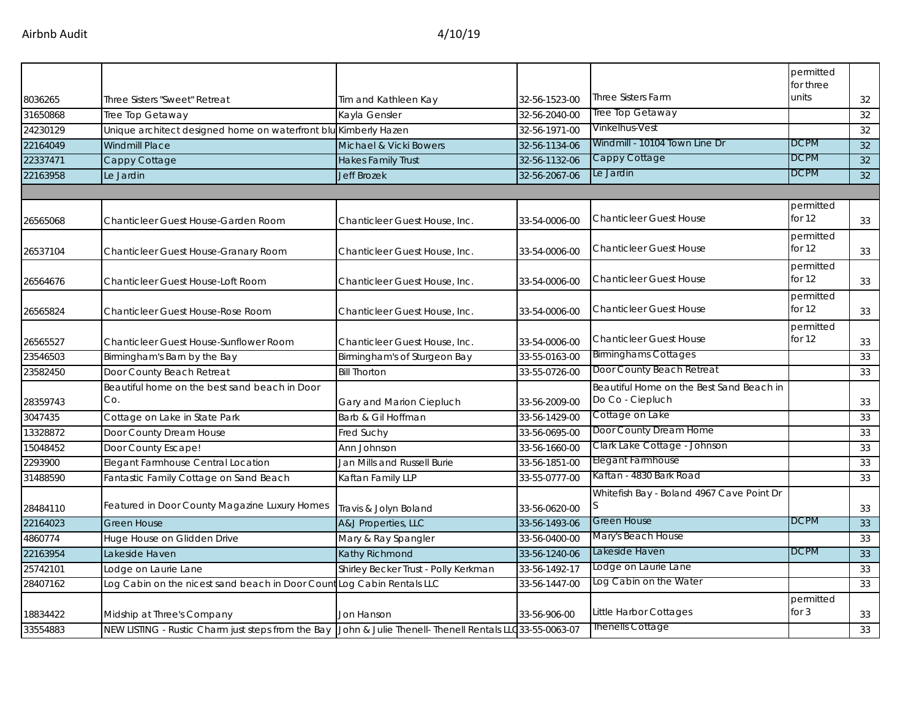|          |                                                                                                           |                                      |               |                                           | permitted<br>for three |    |
|----------|-----------------------------------------------------------------------------------------------------------|--------------------------------------|---------------|-------------------------------------------|------------------------|----|
| 8036265  | Three Sisters "Sweet" Retreat                                                                             | Tim and Kathleen Kay                 | 32-56-1523-00 | <b>Three Sisters Farm</b>                 | units                  | 32 |
| 31650868 | Tree Top Getaway                                                                                          | Kayla Gensler                        | 32-56-2040-00 | Tree Top Getaway                          |                        | 32 |
| 24230129 | Unique architect designed home on waterfront blu Kimberly Hazen                                           |                                      | 32-56-1971-00 | Vinkelhus-Vest                            |                        | 32 |
| 22164049 | <b>Windmill Place</b>                                                                                     | Michael & Vicki Bowers               | 32-56-1134-06 | Windmill - 10104 Town Line Dr             | <b>DCPM</b>            | 32 |
| 22337471 | Cappy Cottage                                                                                             | <b>Hakes Family Trust</b>            | 32-56-1132-06 | Cappy Cottage                             | <b>DCPM</b>            | 32 |
| 22163958 | Le Jardin                                                                                                 | <b>Jeff Brozek</b>                   | 32-56-2067-06 | Le Jardin                                 | <b>DCPM</b>            | 32 |
|          |                                                                                                           |                                      |               |                                           |                        |    |
| 26565068 | Chanticleer Guest House-Garden Room                                                                       | Chanticleer Guest House, Inc.        | 33-54-0006-00 | <b>Chanticleer Guest House</b>            | permitted<br>for $12$  | 33 |
| 26537104 | Chanticleer Guest House-Granary Room                                                                      | Chanticleer Guest House, Inc.        | 33-54-0006-00 | <b>Chanticleer Guest House</b>            | permitted<br>for $12$  | 33 |
| 26564676 | Chanticleer Guest House-Loft Room                                                                         | Chanticleer Guest House, Inc.        | 33-54-0006-00 | <b>Chanticleer Guest House</b>            | permitted<br>for $12$  | 33 |
| 26565824 | Chanticleer Guest House-Rose Room                                                                         | Chanticleer Guest House, Inc.        | 33-54-0006-00 | <b>Chanticleer Guest House</b>            | permitted<br>for 12    | 33 |
| 26565527 | Chanticleer Guest House-Sunflower Room                                                                    | Chanticleer Guest House, Inc.        | 33-54-0006-00 | <b>Chanticleer Guest House</b>            | permitted<br>for $12$  | 33 |
| 23546503 | Birmingham's Barn by the Bay                                                                              | Birmingham's of Sturgeon Bay         | 33-55-0163-00 | <b>Birminghams Cottages</b>               |                        | 33 |
| 23582450 | Door County Beach Retreat                                                                                 | <b>Bill Thorton</b>                  | 33-55-0726-00 | Door County Beach Retreat                 |                        | 33 |
|          | Beautiful home on the best sand beach in Door                                                             |                                      |               | Beautiful Home on the Best Sand Beach in  |                        |    |
| 28359743 | Co.                                                                                                       | Gary and Marion Ciepluch             | 33-56-2009-00 | Do Co - Ciepluch                          |                        | 33 |
| 3047435  | Cottage on Lake in State Park                                                                             | Barb & Gil Hoffman                   | 33-56-1429-00 | Cottage on Lake                           |                        | 33 |
| 13328872 | Door County Dream House                                                                                   | Fred Suchy                           | 33-56-0695-00 | Door County Dream Home                    |                        | 33 |
| 15048452 | Door County Escape!                                                                                       | Ann Johnson                          | 33-56-1660-00 | Clark Lake Cottage - Johnson              |                        | 33 |
| 2293900  | Elegant Farmhouse Central Location                                                                        | Jan Mills and Russell Burie          | 33-56-1851-00 | Elegant Farmhouse                         |                        | 33 |
| 31488590 | Fantastic Family Cottage on Sand Beach                                                                    | Kaftan Family LLP                    | 33-55-0777-00 | Kaftan - 4830 Bark Road                   |                        | 33 |
| 28484110 | Featured in Door County Magazine Luxury Homes                                                             | Travis & Jolyn Boland                | 33-56-0620-00 | Whitefish Bay - Boland 4967 Cave Point Dr |                        | 33 |
| 22164023 | <b>Green House</b>                                                                                        | A&J Properties, LLC                  | 33-56-1493-06 | Green House                               | <b>DCPM</b>            | 33 |
| 4860774  | Huge House on Glidden Drive                                                                               | Mary & Ray Spangler                  | 33-56-0400-00 | Mary's Beach House                        |                        | 33 |
| 22163954 | Lakeside Haven                                                                                            | Kathy Richmond                       | 33-56-1240-06 | Lakeside Haven                            | <b>DCPM</b>            | 33 |
| 25742101 | Lodge on Laurie Lane                                                                                      | Shirley Becker Trust - Polly Kerkman | 33-56-1492-17 | Lodge on Laurie Lane                      |                        | 33 |
| 28407162 | Log Cabin on the nicest sand beach in Door Coun                                                           | Log Cabin Rentals LLC                | 33-56-1447-00 | Log Cabin on the Water                    |                        | 33 |
| 18834422 | Midship at Three's Company                                                                                | Jon Hanson                           | 33-56-906-00  | Little Harbor Cottages                    | permitted<br>for 3     | 33 |
| 33554883 | NEW LISTING - Rustic Charm just steps from the Bay John & Julie Thenell- Thenell Rentals LLC33-55-0063-07 |                                      |               | <b>Thenells Cottage</b>                   |                        | 33 |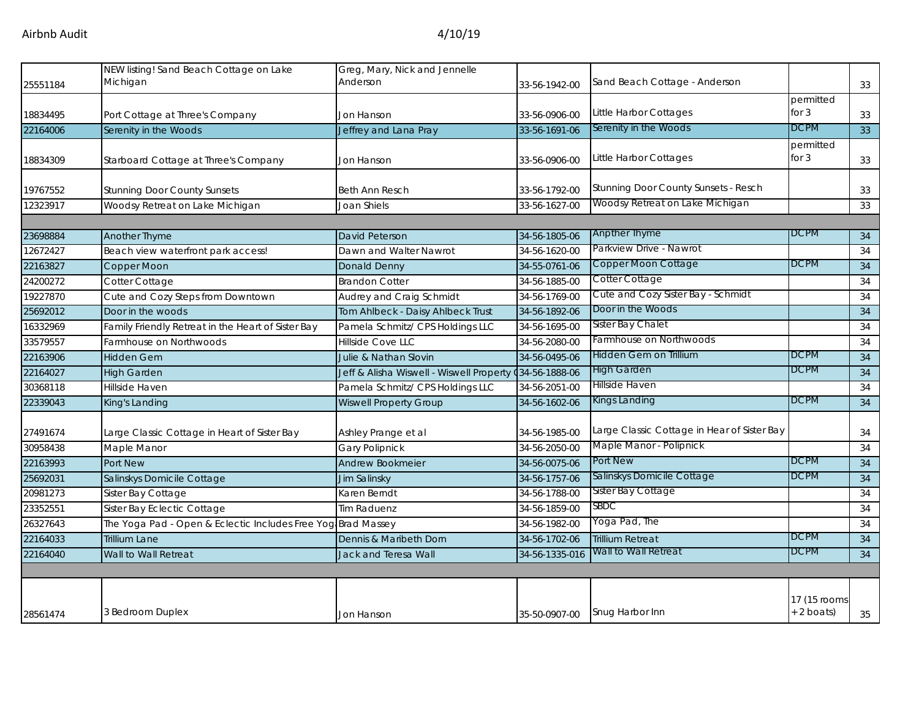| 25551184 | NEW listing! Sand Beach Cottage on Lake<br>Michigan          | Greg, Mary, Nick and Jennelle<br>Anderson | 33-56-1942-00  | Sand Beach Cottage - Anderson               |                              | 33              |
|----------|--------------------------------------------------------------|-------------------------------------------|----------------|---------------------------------------------|------------------------------|-----------------|
| 18834495 | Port Cottage at Three's Company                              | Jon Hanson                                | 33-56-0906-00  | Little Harbor Cottages                      | permitted<br>for $3$         | 33              |
| 22164006 | Serenity in the Woods                                        | Jeffrey and Lana Pray                     | 33-56-1691-06  | Serenity in the Woods                       | <b>DCPM</b>                  | 33              |
|          |                                                              |                                           |                |                                             | permitted                    |                 |
| 18834309 | Starboard Cottage at Three's Company                         | Jon Hanson                                | 33-56-0906-00  | Little Harbor Cottages                      | for $3$                      | 33              |
| 19767552 | <b>Stunning Door County Sunsets</b>                          | <b>Beth Ann Resch</b>                     | 33-56-1792-00  | Stunning Door County Sunsets - Resch        |                              | 33              |
| 12323917 | Woodsy Retreat on Lake Michigan                              | Joan Shiels                               | 33-56-1627-00  | Woodsy Retreat on Lake Michigan             |                              | 33              |
|          |                                                              |                                           |                |                                             |                              |                 |
| 23698884 | Another Thyme                                                | David Peterson                            | 34-56-1805-06  | <b>Anpther Thyme</b>                        | <b>DCPM</b>                  | 34              |
| 12672427 | Beach view waterfront park access!                           | Dawn and Walter Nawrot                    | 34-56-1620-00  | Parkview Drive - Nawrot                     |                              | 34              |
| 22163827 | Copper Moon                                                  | Donald Denny                              | 34-55-0761-06  | Copper Moon Cottage                         | <b>DCPM</b>                  | 34              |
| 24200272 | Cotter Cottage                                               | <b>Brandon Cotter</b>                     | 34-56-1885-00  | Cotter Cottage                              |                              | 34              |
| 19227870 | Cute and Cozy Steps from Downtown                            | Audrey and Craig Schmidt                  | 34-56-1769-00  | Cute and Cozy Sister Bay - Schmidt          |                              | 34              |
| 25692012 | Door in the woods                                            | Tom Ahlbeck - Daisy Ahlbeck Trust         | 34-56-1892-06  | Door in the Woods                           |                              | 34              |
| 16332969 | Family Friendly Retreat in the Heart of Sister Bay           | Pamela Schmitz/ CPS Holdings LLC          | 34-56-1695-00  | Sister Bay Chalet                           |                              | 34              |
| 33579557 | Farmhouse on Northwoods                                      | <b>Hillside Cove LLC</b>                  | 34-56-2080-00  | Farmhouse on Northwoods                     |                              | 34              |
| 22163906 | <b>Hidden Gem</b>                                            | Julie & Nathan Slovin                     | 34-56-0495-06  | Hidden Gem on Trillium                      | <b>DCPM</b>                  | 34              |
| 22164027 | <b>High Garden</b>                                           | Jeff & Alisha Wiswell - Wiswell Property  | 34-56-1888-06  | High Garden                                 | <b>DCPM</b>                  | 34              |
| 30368118 | Hillside Haven                                               | Pamela Schmitz/ CPS Holdings LLC          | 34-56-2051-00  | Hillside Haven                              |                              | 34              |
| 22339043 | King's Landing                                               | <b>Wiswell Property Group</b>             | 34-56-1602-06  | Kings Landing                               | <b>DCPM</b>                  | 34              |
| 27491674 | Large Classic Cottage in Heart of Sister Bay                 | Ashley Prange et al                       | 34-56-1985-00  | Large Classic Cottage in Hear of Sister Bay |                              | 34              |
| 30958438 | Maple Manor                                                  | <b>Gary Polipnick</b>                     | 34-56-2050-00  | Maple Manor - Polipnick                     |                              | 34              |
| 22163993 | <b>Port New</b>                                              | <b>Andrew Bookmeier</b>                   | 34-56-0075-06  | Port New                                    | <b>DCPM</b>                  | 34              |
| 25692031 | Salinskys Domicile Cottage                                   | <b>Jim Salinsky</b>                       | 34-56-1757-06  | Salinskys Domicile Cottage                  | <b>DCPM</b>                  | $\overline{34}$ |
| 20981273 | Sister Bay Cottage                                           | Karen Berndt                              | 34-56-1788-00  | Sister Bay Cottage                          |                              | 34              |
| 23352551 | Sister Bay Eclectic Cottage                                  | <b>Tim Raduenz</b>                        | 34-56-1859-00  | SBDC                                        |                              | 34              |
| 26327643 | The Yoga Pad - Open & Eclectic Includes Free Yog Brad Massey |                                           | 34-56-1982-00  | Yoga Pad, The                               |                              | 34              |
| 22164033 | <b>Trillium Lane</b>                                         | Dennis & Maribeth Dorn                    | 34-56-1702-06  | <b>Trillium Retreat</b>                     | <b>DCPM</b>                  | 34              |
| 22164040 | Wall to Wall Retreat                                         | Jack and Teresa Wall                      | 34-56-1335-016 | Wall to Wall Retreat                        | <b>DCPM</b>                  | 34              |
|          |                                                              |                                           |                |                                             |                              |                 |
| 28561474 | 3 Bedroom Duplex                                             | Jon Hanson                                | 35-50-0907-00  | Snug Harbor Inn                             | 17 (15 rooms<br>$+ 2$ boats) | 35              |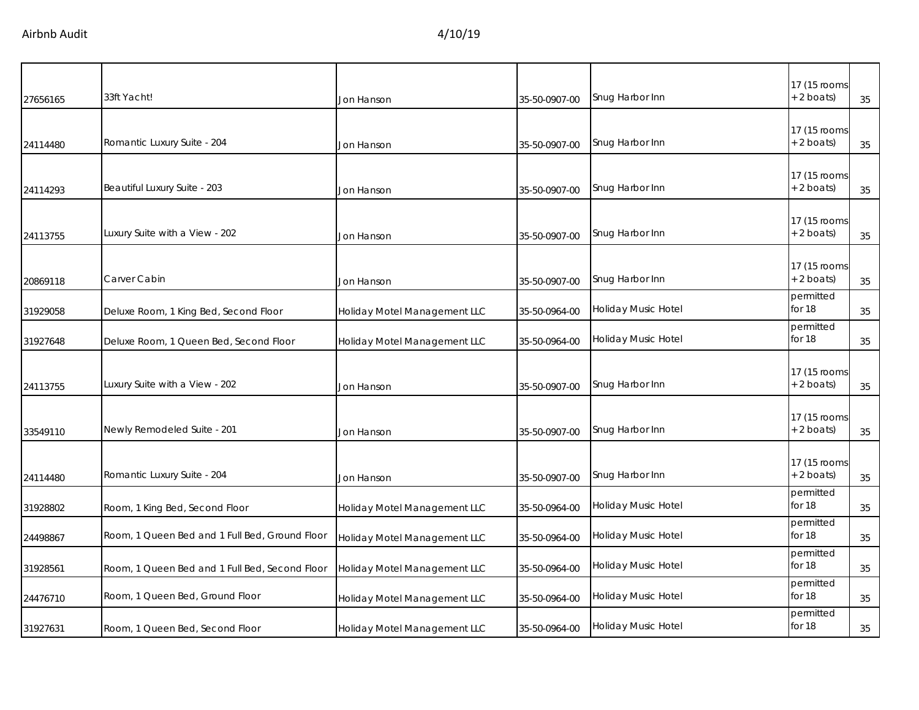| 27656165 | 33ft Yacht!                                    | Jon Hanson                   | 35-50-0907-00 | Snug Harbor Inn     | 17 (15 rooms<br>$+2$ boats)  | 35 |
|----------|------------------------------------------------|------------------------------|---------------|---------------------|------------------------------|----|
| 24114480 | Romantic Luxury Suite - 204                    | Jon Hanson                   | 35-50-0907-00 | Snug Harbor Inn     | 17 (15 rooms<br>$+ 2$ boats) | 35 |
| 24114293 | Beautiful Luxury Suite - 203                   | Jon Hanson                   | 35-50-0907-00 | Snug Harbor Inn     | 17 (15 rooms<br>$+ 2$ boats) | 35 |
| 24113755 | Luxury Suite with a View - 202                 | Jon Hanson                   | 35-50-0907-00 | Snug Harbor Inn     | 17 (15 rooms<br>+ 2 boats)   | 35 |
| 20869118 | Carver Cabin                                   | Jon Hanson                   | 35-50-0907-00 | Snug Harbor Inn     | 17 (15 rooms<br>$+ 2$ boats) | 35 |
| 31929058 | Deluxe Room, 1 King Bed, Second Floor          | Holiday Motel Management LLC | 35-50-0964-00 | Holiday Music Hotel | permitted<br>for 18          | 35 |
| 31927648 | Deluxe Room, 1 Queen Bed, Second Floor         | Holiday Motel Management LLC | 35-50-0964-00 | Holiday Music Hotel | permitted<br>for 18          | 35 |
| 24113755 | Luxury Suite with a View - 202                 | Jon Hanson                   | 35-50-0907-00 | Snug Harbor Inn     | 17 (15 rooms<br>+ 2 boats)   | 35 |
| 33549110 | Newly Remodeled Suite - 201                    | Jon Hanson                   | 35-50-0907-00 | Snug Harbor Inn     | 17 (15 rooms<br>$+ 2$ boats) | 35 |
| 24114480 | Romantic Luxury Suite - 204                    | Jon Hanson                   | 35-50-0907-00 | Snug Harbor Inn     | 17 (15 rooms<br>$+ 2$ boats) | 35 |
| 31928802 | Room, 1 King Bed, Second Floor                 | Holiday Motel Management LLC | 35-50-0964-00 | Holiday Music Hotel | permitted<br>for 18          | 35 |
| 24498867 | Room, 1 Queen Bed and 1 Full Bed, Ground Floor | Holiday Motel Management LLC | 35-50-0964-00 | Holiday Music Hotel | permitted<br>for 18          | 35 |
| 31928561 | Room, 1 Queen Bed and 1 Full Bed, Second Floor | Holiday Motel Management LLC | 35-50-0964-00 | Holiday Music Hotel | permitted<br>for 18          | 35 |
| 24476710 | Room, 1 Queen Bed, Ground Floor                | Holiday Motel Management LLC | 35-50-0964-00 | Holiday Music Hotel | permitted<br>for 18          | 35 |
| 31927631 | Room, 1 Queen Bed, Second Floor                | Holiday Motel Management LLC | 35-50-0964-00 | Holiday Music Hotel | permitted<br>for 18          | 35 |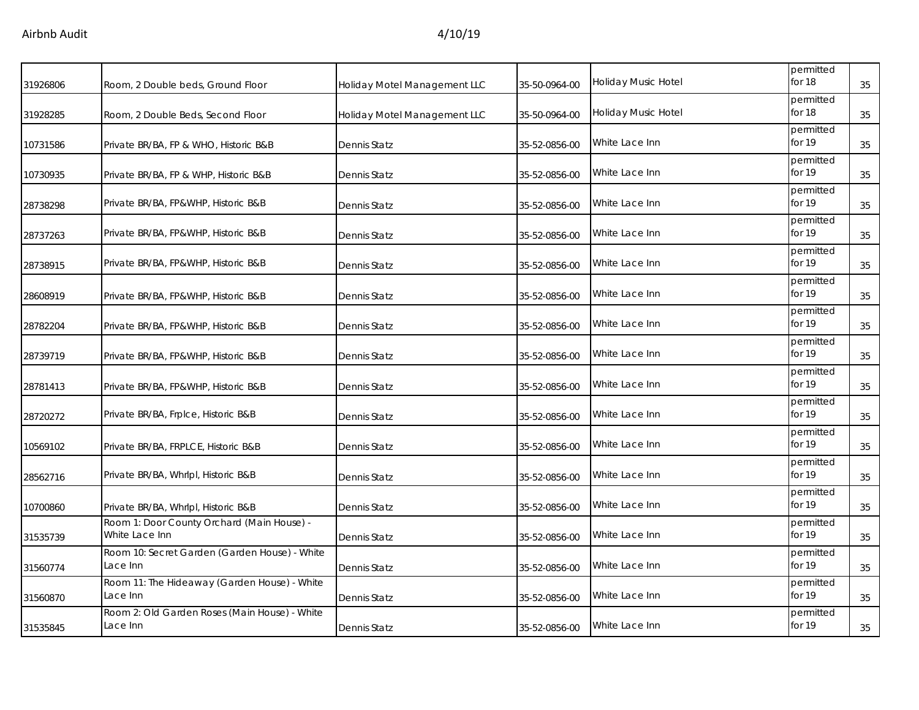| 31926806 | Room, 2 Double beds, Ground Floor                            | Holiday Motel Management LLC | 35-50-0964-00 | Holiday Music Hotel | permitted<br>for 18   | 35 |
|----------|--------------------------------------------------------------|------------------------------|---------------|---------------------|-----------------------|----|
| 31928285 | Room, 2 Double Beds, Second Floor                            | Holiday Motel Management LLC | 35-50-0964-00 | Holiday Music Hotel | permitted<br>for 18   | 35 |
| 10731586 | Private BR/BA, FP & WHO, Historic B&B                        | <b>Dennis Statz</b>          | 35-52-0856-00 | White Lace Inn      | permitted<br>for 19   | 35 |
| 10730935 | Private BR/BA, FP & WHP, Historic B&B                        | Dennis Statz                 | 35-52-0856-00 | White Lace Inn      | permitted<br>for 19   | 35 |
| 28738298 | Private BR/BA, FP&WHP, Historic B&B                          | <b>Dennis Statz</b>          | 35-52-0856-00 | White Lace Inn      | permitted<br>for $19$ | 35 |
| 28737263 | Private BR/BA, FP&WHP, Historic B&B                          | Dennis Statz                 | 35-52-0856-00 | White Lace Inn      | permitted<br>for 19   | 35 |
| 28738915 | Private BR/BA, FP&WHP, Historic B&B                          | Dennis Statz                 | 35-52-0856-00 | White Lace Inn      | permitted<br>for $19$ | 35 |
| 28608919 | Private BR/BA, FP&WHP, Historic B&B                          | Dennis Statz                 | 35-52-0856-00 | White Lace Inn      | permitted<br>for 19   | 35 |
| 28782204 | Private BR/BA, FP&WHP, Historic B&B                          | Dennis Statz                 | 35-52-0856-00 | White Lace Inn      | permitted<br>for 19   | 35 |
| 28739719 | Private BR/BA, FP&WHP, Historic B&B                          | Dennis Statz                 | 35-52-0856-00 | White Lace Inn      | permitted<br>for 19   | 35 |
| 28781413 | Private BR/BA, FP&WHP, Historic B&B                          | Dennis Statz                 | 35-52-0856-00 | White Lace Inn      | permitted<br>for 19   | 35 |
| 28720272 | Private BR/BA, Frplce, Historic B&B                          | Dennis Statz                 | 35-52-0856-00 | White Lace Inn      | permitted<br>for 19   | 35 |
| 10569102 | Private BR/BA, FRPLCE, Historic B&B                          | Dennis Statz                 | 35-52-0856-00 | White Lace Inn      | permitted<br>for 19   | 35 |
| 28562716 | Private BR/BA, Whrlpl, Historic B&B                          | Dennis Statz                 | 35-52-0856-00 | White Lace Inn      | permitted<br>for 19   | 35 |
| 10700860 | Private BR/BA, Whrlpl, Historic B&B                          | Dennis Statz                 | 35-52-0856-00 | White Lace Inn      | permitted<br>for $19$ | 35 |
| 31535739 | Room 1: Door County Orchard (Main House) -<br>White Lace Inn | Dennis Statz                 | 35-52-0856-00 | White Lace Inn      | permitted<br>for 19   | 35 |
| 31560774 | Room 10: Secret Garden (Garden House) - White<br>Lace Inn    | Dennis Statz                 | 35-52-0856-00 | White Lace Inn      | permitted<br>for 19   | 35 |
| 31560870 | Room 11: The Hideaway (Garden House) - White<br>Lace Inn     | Dennis Statz                 | 35-52-0856-00 | White Lace Inn      | permitted<br>for 19   | 35 |
| 31535845 | Room 2: Old Garden Roses (Main House) - White<br>Lace Inn    | <b>Dennis Statz</b>          | 35-52-0856-00 | White Lace Inn      | permitted<br>for 19   | 35 |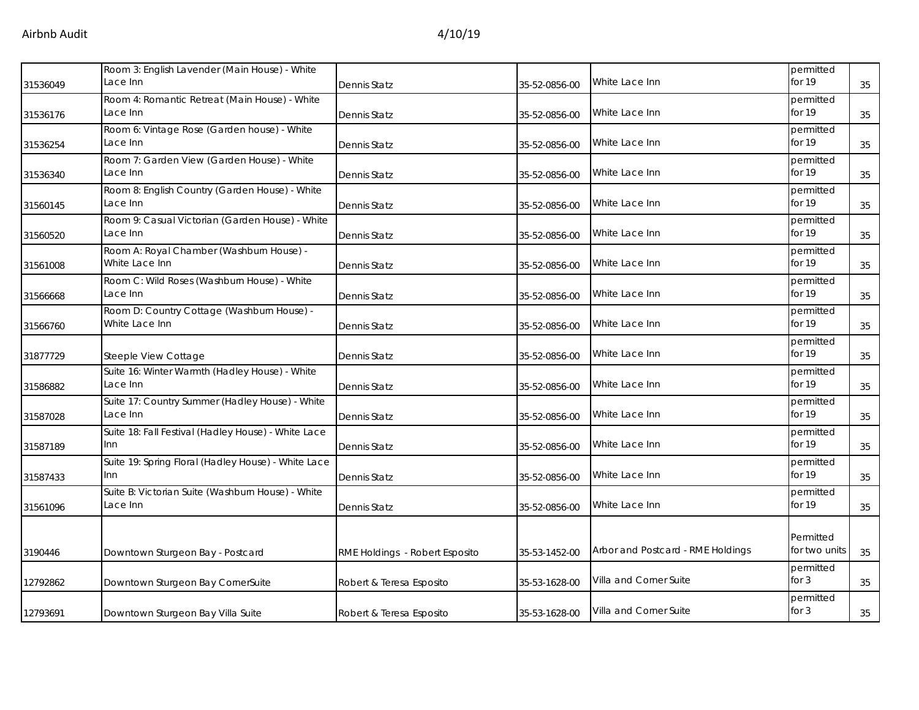| 31536049 | Room 3: English Lavender (Main House) - White<br>Lace Inn     | Dennis Statz                   | 35-52-0856-00 | White Lace Inn                    | permitted<br>for 19        | 35 |
|----------|---------------------------------------------------------------|--------------------------------|---------------|-----------------------------------|----------------------------|----|
| 31536176 | Room 4: Romantic Retreat (Main House) - White<br>Lace Inn     | Dennis Statz                   | 35-52-0856-00 | White Lace Inn                    | permitted<br>for 19        | 35 |
| 31536254 | Room 6: Vintage Rose (Garden house) - White<br>Lace Inn       | Dennis Statz                   | 35-52-0856-00 | White Lace Inn                    | permitted<br>for 19        | 35 |
| 31536340 | Room 7: Garden View (Garden House) - White<br>Lace Inn        | Dennis Statz                   | 35-52-0856-00 | White Lace Inn                    | permitted<br>for 19        | 35 |
| 31560145 | Room 8: English Country (Garden House) - White<br>Lace Inn    | Dennis Statz                   | 35-52-0856-00 | White Lace Inn                    | permitted<br>for 19        | 35 |
| 31560520 | Room 9: Casual Victorian (Garden House) - White<br>Lace Inn   | Dennis Statz                   | 35-52-0856-00 | White Lace Inn                    | permitted<br>for 19        | 35 |
| 31561008 | Room A: Royal Chamber (Washburn House) -<br>White Lace Inn    | Dennis Statz                   | 35-52-0856-00 | White Lace Inn                    | permitted<br>for 19        | 35 |
| 31566668 | Room C: Wild Roses (Washburn House) - White<br>Lace Inn       | Dennis Statz                   | 35-52-0856-00 | White Lace Inn                    | permitted<br>for 19        | 35 |
| 31566760 | Room D: Country Cottage (Washburn House) -<br>White Lace Inn  | Dennis Statz                   | 35-52-0856-00 | White Lace Inn                    | permitted<br>for 19        | 35 |
| 31877729 | Steeple View Cottage                                          | Dennis Statz                   | 35-52-0856-00 | White Lace Inn                    | permitted<br>for 19        | 35 |
| 31586882 | Suite 16: Winter Warmth (Hadley House) - White<br>Lace Inn    | Dennis Statz                   | 35-52-0856-00 | White Lace Inn                    | permitted<br>for 19        | 35 |
| 31587028 | Suite 17: Country Summer (Hadley House) - White<br>Lace Inn   | Dennis Statz                   | 35-52-0856-00 | White Lace Inn                    | permitted<br>for 19        | 35 |
| 31587189 | Suite 18: Fall Festival (Hadley House) - White Lace<br>lnn.   | Dennis Statz                   | 35-52-0856-00 | White Lace Inn                    | permitted<br>for 19        | 35 |
| 31587433 | Suite 19: Spring Floral (Hadley House) - White Lace<br>lnn.   | Dennis Statz                   | 35-52-0856-00 | White Lace Inn                    | permitted<br>for 19        | 35 |
| 31561096 | Suite B: Victorian Suite (Washburn House) - White<br>Lace Inn | Dennis Statz                   | 35-52-0856-00 | White Lace Inn                    | permitted<br>for 19        | 35 |
| 3190446  | Downtown Sturgeon Bay - Postcard                              | RME Holdings - Robert Esposito | 35-53-1452-00 | Arbor and Postcard - RME Holdings | Permitted<br>for two units | 35 |
| 12792862 | Downtown Sturgeon Bay CornerSuite                             | Robert & Teresa Esposito       | 35-53-1628-00 | Villa and Corner Suite            | permitted<br>for $3$       | 35 |
| 12793691 | Downtown Sturgeon Bay Villa Suite                             | Robert & Teresa Esposito       | 35-53-1628-00 | Villa and Corner Suite            | permitted<br>for $3$       | 35 |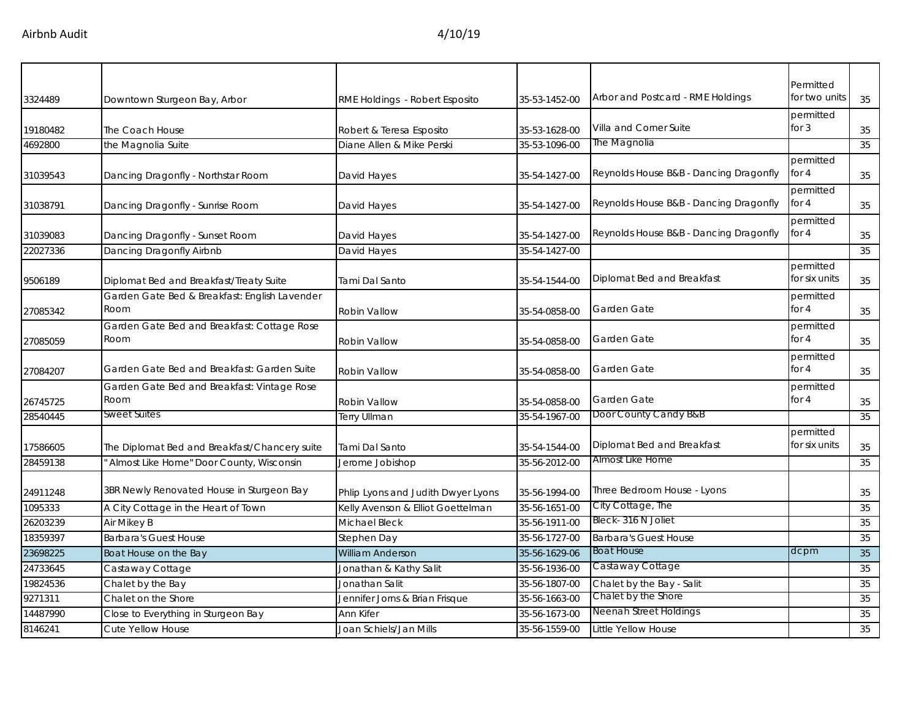| 3324489  | Downtown Sturgeon Bay, Arbor                  | RME Holdings - Robert Esposito     | 35-53-1452-00 | Arbor and Postcard - RME Holdings              | Permitted<br>for two units | 35 |
|----------|-----------------------------------------------|------------------------------------|---------------|------------------------------------------------|----------------------------|----|
|          |                                               |                                    |               |                                                | permitted                  |    |
| 19180482 | The Coach House                               | Robert & Teresa Esposito           | 35-53-1628-00 | Villa and Corner Suite                         | for $3$                    | 35 |
| 4692800  | the Magnolia Suite                            | Diane Allen & Mike Perski          | 35-53-1096-00 | The Magnolia                                   |                            | 35 |
|          |                                               |                                    |               |                                                | permitted                  |    |
| 31039543 | Dancing Dragonfly - Northstar Room            | David Hayes                        | 35-54-1427-00 | Reynolds House B&B - Dancing Dragonfly         | for $4$                    | 35 |
|          |                                               |                                    |               |                                                | permitted                  |    |
| 31038791 | Dancing Dragonfly - Sunrise Room              | David Hayes                        | 35-54-1427-00 | Reynolds House B&B - Dancing Dragonfly         | for 4                      | 35 |
|          |                                               |                                    |               |                                                | permitted                  |    |
| 31039083 | Dancing Dragonfly - Sunset Room               | David Hayes                        | 35-54-1427-00 | Reynolds House B&B - Dancing Dragonfly         | for 4                      | 35 |
| 22027336 | Dancing Dragonfly Airbnb                      | David Hayes                        | 35-54-1427-00 |                                                |                            | 35 |
|          |                                               |                                    |               |                                                | permitted                  |    |
| 9506189  | Diplomat Bed and Breakfast/Treaty Suite       | Tami Dal Santo                     | 35-54-1544-00 | Diplomat Bed and Breakfast                     | for six units              | 35 |
|          | Garden Gate Bed & Breakfast: English Lavender |                                    |               |                                                | permitted                  |    |
| 27085342 | Room                                          | Robin Vallow                       | 35-54-0858-00 | Garden Gate                                    | for $4$                    | 35 |
|          | Garden Gate Bed and Breakfast: Cottage Rose   |                                    |               |                                                | permitted                  |    |
| 27085059 | Room                                          | Robin Vallow                       | 35-54-0858-00 | Garden Gate                                    | for $4$                    | 35 |
|          |                                               |                                    |               |                                                | permitted                  |    |
| 27084207 | Garden Gate Bed and Breakfast: Garden Suite   | Robin Vallow                       | 35-54-0858-00 | Garden Gate                                    | for $4$                    | 35 |
|          | Garden Gate Bed and Breakfast: Vintage Rose   |                                    |               |                                                | permitted                  |    |
| 26745725 | Room                                          | Robin Vallow                       | 35-54-0858-00 | Garden Gate                                    | for $4$                    | 35 |
| 28540445 | <b>Sweet Suites</b>                           | <b>Terry Ullman</b>                | 35-54-1967-00 | Door County Candy B&B                          |                            | 35 |
|          |                                               |                                    |               |                                                | permitted                  |    |
| 17586605 | The Diplomat Bed and Breakfast/Chancery suite | Tami Dal Santo                     | 35-54-1544-00 | Diplomat Bed and Breakfast<br>Almost Like Home | for six units              | 35 |
| 28459138 | ' Almost Like Home" Door County, Wisconsin    | Jerome Jobishop                    | 35-56-2012-00 |                                                |                            | 35 |
| 24911248 | 3BR Newly Renovated House in Sturgeon Bay     | Phlip Lyons and Judith Dwyer Lyons | 35-56-1994-00 | Three Bedroom House - Lyons                    |                            | 35 |
| 1095333  | A City Cottage in the Heart of Town           | Kelly Avenson & Elliot Goettelman  | 35-56-1651-00 | City Cottage, The                              |                            | 35 |
| 26203239 | Air Mikey B                                   | Michael Bleck                      | 35-56-1911-00 | Bleck-316 N Joliet                             |                            | 35 |
| 18359397 | <b>Barbara's Guest House</b>                  | Stephen Day                        | 35-56-1727-00 | <b>Barbara's Guest House</b>                   |                            | 35 |
| 23698225 | Boat House on the Bay                         | <b>William Anderson</b>            | 35-56-1629-06 | <b>Boat House</b>                              | dcpm                       | 35 |
| 24733645 | Castaway Cottage                              | Jonathan & Kathy Salit             | 35-56-1936-00 | Castaway Cottage                               |                            | 35 |
| 19824536 | Chalet by the Bay                             | Jonathan Salit                     | 35-56-1807-00 | Chalet by the Bay - Salit                      |                            | 35 |
| 9271311  | Chalet on the Shore                           | Jennifer Jorns & Brian Frisque     | 35-56-1663-00 | Chalet by the Shore                            |                            | 35 |
| 14487990 | Close to Everything in Sturgeon Bay           | Ann Kifer                          | 35-56-1673-00 | Neenah Street Holdings                         |                            | 35 |
| 8146241  | Cute Yellow House                             | Joan Schiels/Jan Mills             | 35-56-1559-00 | Little Yellow House                            |                            | 35 |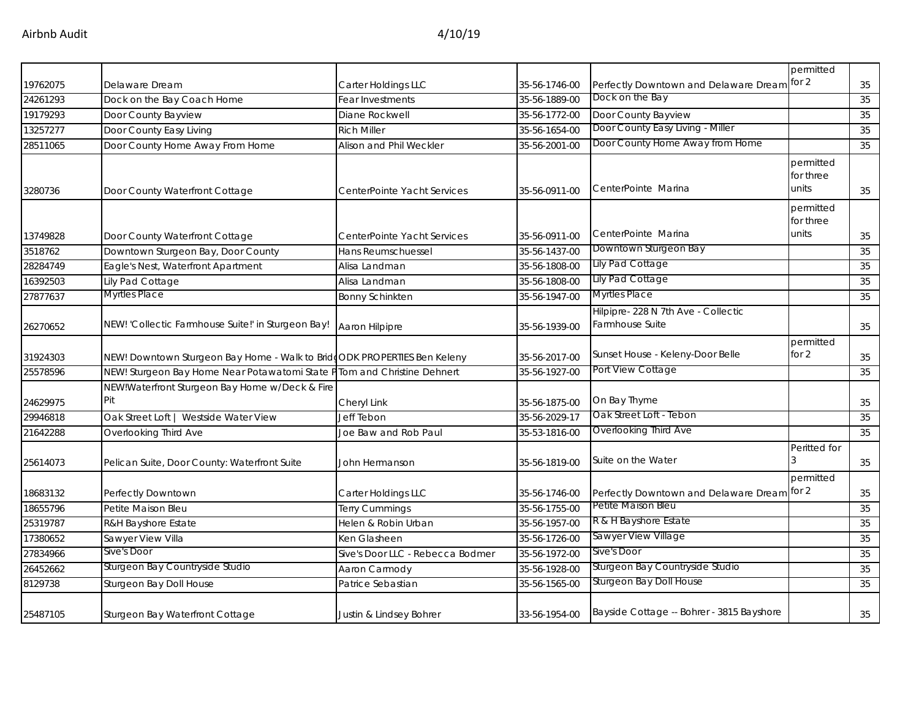|          |                                                                          |                                  |               |                                                        | permitted                       |    |
|----------|--------------------------------------------------------------------------|----------------------------------|---------------|--------------------------------------------------------|---------------------------------|----|
| 19762075 | Delaware Dream                                                           | Carter Holdings LLC              | 35-56-1746-00 | Perfectly Downtown and Delaware Dream for 2            |                                 | 35 |
| 24261293 | Dock on the Bay Coach Home                                               | Fear Investments                 | 35-56-1889-00 | Dock on the Bay                                        |                                 | 35 |
| 19179293 | Door County Bayview                                                      | Diane Rockwell                   | 35-56-1772-00 | Door County Bayview                                    |                                 | 35 |
| 13257277 | Door County Easy Living                                                  | <b>Rich Miller</b>               | 35-56-1654-00 | Door County Easy Living - Miller                       |                                 | 35 |
| 28511065 | Door County Home Away From Home                                          | Alison and Phil Weckler          | 35-56-2001-00 | Door County Home Away from Home                        |                                 | 35 |
| 3280736  | Door County Waterfront Cottage                                           | CenterPointe Yacht Services      | 35-56-0911-00 | CenterPointe Marina                                    | permitted<br>for three<br>units | 35 |
| 13749828 | Door County Waterfront Cottage                                           | CenterPointe Yacht Services      | 35-56-0911-00 | CenterPointe Marina                                    | permitted<br>for three<br>units | 35 |
| 3518762  | Downtown Sturgeon Bay, Door County                                       | <b>Hans Reumschuessel</b>        | 35-56-1437-00 | Downtown Sturgeon Bay                                  |                                 | 35 |
| 28284749 | Eagle's Nest, Waterfront Apartment                                       | Alisa Landman                    | 35-56-1808-00 | Lily Pad Cottage                                       |                                 | 35 |
| 16392503 | Lily Pad Cottage                                                         | Alisa Landman                    | 35-56-1808-00 | Lily Pad Cottage                                       |                                 | 35 |
| 27877637 | Myrtles Place                                                            | <b>Bonny Schinkten</b>           | 35-56-1947-00 | <b>Myrtles Place</b>                                   |                                 | 35 |
| 26270652 | NEW! 'Collectic Farmhouse Suite!' in Sturgeon Bay!                       | Aaron Hilpipre                   | 35-56-1939-00 | Hilpipre- 228 N 7th Ave - Collectic<br>Farmhouse Suite |                                 | 35 |
| 31924303 | NEW! Downtown Sturgeon Bay Home - Walk to BridgODK PROPERTIES Ben Keleny |                                  | 35-56-2017-00 | Sunset House - Keleny-Door Belle                       | permitted<br>for 2              | 35 |
| 25578596 | NEW! Sturgeon Bay Home Near Potawatomi State PTom and Christine Dehnert  |                                  | 35-56-1927-00 | Port View Cottage                                      |                                 | 35 |
| 24629975 | NEW!Waterfront Sturgeon Bay Home w/Deck & Fire<br>Pit                    | Cheryl Link                      | 35-56-1875-00 | On Bay Thyme                                           |                                 | 35 |
| 29946818 | Oak Street Loft   Westside Water View                                    | <b>Jeff Tebon</b>                | 35-56-2029-17 | Oak Street Loft - Tebon                                |                                 | 35 |
| 21642288 | Overlooking Third Ave                                                    | Joe Baw and Rob Paul             | 35-53-1816-00 | Overlooking Third Ave                                  |                                 | 35 |
| 25614073 | Pelican Suite, Door County: Waterfront Suite                             | John Hermanson                   | 35-56-1819-00 | Suite on the Water                                     | Peritted for                    | 35 |
| 18683132 | Perfectly Downtown                                                       | Carter Holdings LLC              | 35-56-1746-00 | Perfectly Downtown and Delaware Dream for 2            | permitted                       | 35 |
| 18655796 | Petite Maison Bleu                                                       | Terry Cummings                   | 35-56-1755-00 | Petite Maison Bleu                                     |                                 | 35 |
| 25319787 | R&H Bayshore Estate                                                      | Helen & Robin Urban              | 35-56-1957-00 | R & H Bayshore Estate                                  |                                 | 35 |
| 17380652 | Sawyer View Villa                                                        | Ken Glasheen                     | 35-56-1726-00 | Sawyer View Village                                    |                                 | 35 |
| 27834966 | Sive's Door                                                              | Sive's Door LLC - Rebecca Bodmer | 35-56-1972-00 | Sive's Door                                            |                                 | 35 |
| 26452662 | Sturgeon Bay Countryside Studio                                          | Aaron Carmody                    | 35-56-1928-00 | Sturgeon Bay Countryside Studio                        |                                 | 35 |
| 8129738  | Sturgeon Bay Doll House                                                  | Patrice Sebastian                | 35-56-1565-00 | Sturgeon Bay Doll House                                |                                 | 35 |
| 25487105 | Sturgeon Bay Waterfront Cottage                                          | Justin & Lindsey Bohrer          | 33-56-1954-00 | Bayside Cottage -- Bohrer - 3815 Bayshore              |                                 | 35 |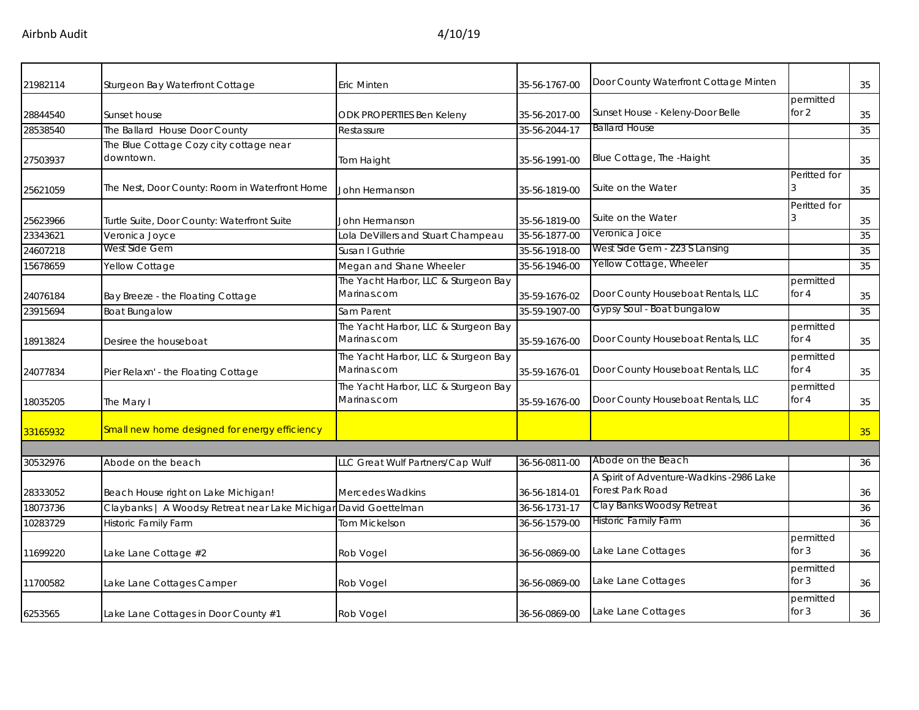Airbnb Audit 4/10/19

| 21982114 | Sturgeon Bay Waterfront Cottage                                  | Eric Minten                                         | 35-56-1767-00 | Door County Waterfront Cottage Minten                        |                      | 35 |
|----------|------------------------------------------------------------------|-----------------------------------------------------|---------------|--------------------------------------------------------------|----------------------|----|
| 28844540 | Sunset house                                                     | ODK PROPERTIES Ben Keleny                           | 35-56-2017-00 | Sunset House - Keleny-Door Belle                             | permitted<br>for 2   | 35 |
| 28538540 | The Ballard House Door County                                    | Restassure                                          | 35-56-2044-17 | <b>Ballard House</b>                                         |                      | 35 |
| 27503937 | The Blue Cottage Cozy city cottage near<br>downtown.             | Tom Haight                                          | 35-56-1991-00 | Blue Cottage, The -Haight                                    |                      | 35 |
| 25621059 | The Nest, Door County: Room in Waterfront Home                   | John Hermanson                                      | 35-56-1819-00 | Suite on the Water                                           | Peritted for         | 35 |
| 25623966 | Turtle Suite, Door County: Waterfront Suite                      | John Hermanson                                      | 35-56-1819-00 | Suite on the Water                                           | Peritted for         | 35 |
| 23343621 | Veronica Joyce                                                   | Lola DeVillers and Stuart Champeau                  | 35-56-1877-00 | Veronica Joice                                               |                      | 35 |
| 24607218 | West Side Gem                                                    | Susan I Guthrie                                     | 35-56-1918-00 | West Side Gem - 223 S Lansing                                |                      | 35 |
| 15678659 | Yellow Cottage                                                   | Megan and Shane Wheeler                             | 35-56-1946-00 | Yellow Cottage, Wheeler                                      |                      | 35 |
| 24076184 | Bay Breeze - the Floating Cottage                                | The Yacht Harbor, LLC & Sturgeon Bay<br>Marinas.com | 35-59-1676-02 | Door County Houseboat Rentals, LLC                           | permitted<br>for $4$ | 35 |
| 23915694 | <b>Boat Bungalow</b>                                             | Sam Parent                                          | 35-59-1907-00 | Gypsy Soul - Boat bungalow                                   |                      | 35 |
| 18913824 | Desiree the houseboat                                            | The Yacht Harbor, LLC & Sturgeon Bay<br>Marinas.com | 35-59-1676-00 | Door County Houseboat Rentals, LLC                           | permitted<br>for $4$ | 35 |
| 24077834 | Pier Relaxn' - the Floating Cottage                              | The Yacht Harbor, LLC & Sturgeon Bay<br>Marinas.com | 35-59-1676-01 | Door County Houseboat Rentals, LLC                           | permitted<br>for $4$ | 35 |
| 18035205 | The Mary I                                                       | The Yacht Harbor, LLC & Sturgeon Bay<br>Marinas.com | 35-59-1676-00 | Door County Houseboat Rentals, LLC                           | permitted<br>for 4   | 35 |
| 33165932 | Small new home designed for energy efficiency                    |                                                     |               |                                                              |                      | 35 |
|          |                                                                  |                                                     |               |                                                              |                      |    |
| 30532976 | Abode on the beach                                               | LLC Great Wulf Partners/Cap Wulf                    | 36-56-0811-00 | Abode on the Beach                                           |                      | 36 |
| 28333052 | Beach House right on Lake Michigan!                              | <b>Mercedes Wadkins</b>                             | 36-56-1814-01 | A Spirit of Adventure-Wadkins -2986 Lake<br>Forest Park Road |                      | 36 |
| 18073736 | Claybanks   A Woodsy Retreat near Lake Michigan David Goettelman |                                                     | 36-56-1731-17 | Clay Banks Woodsy Retreat                                    |                      | 36 |
| 10283729 | Historic Family Farm                                             | <b>Tom Mickelson</b>                                | 36-56-1579-00 | <b>Historic Family Farm</b>                                  |                      | 36 |
| 11699220 | Lake Lane Cottage #2                                             | Rob Vogel                                           | 36-56-0869-00 | Lake Lane Cottages                                           | permitted<br>for $3$ | 36 |
| 11700582 | Lake Lane Cottages Camper                                        | Rob Vogel                                           | 36-56-0869-00 | Lake Lane Cottages                                           | permitted<br>for $3$ | 36 |
| 6253565  | Lake Lane Cottages in Door County #1                             | Rob Vogel                                           | 36-56-0869-00 | Lake Lane Cottages                                           | permitted<br>for 3   | 36 |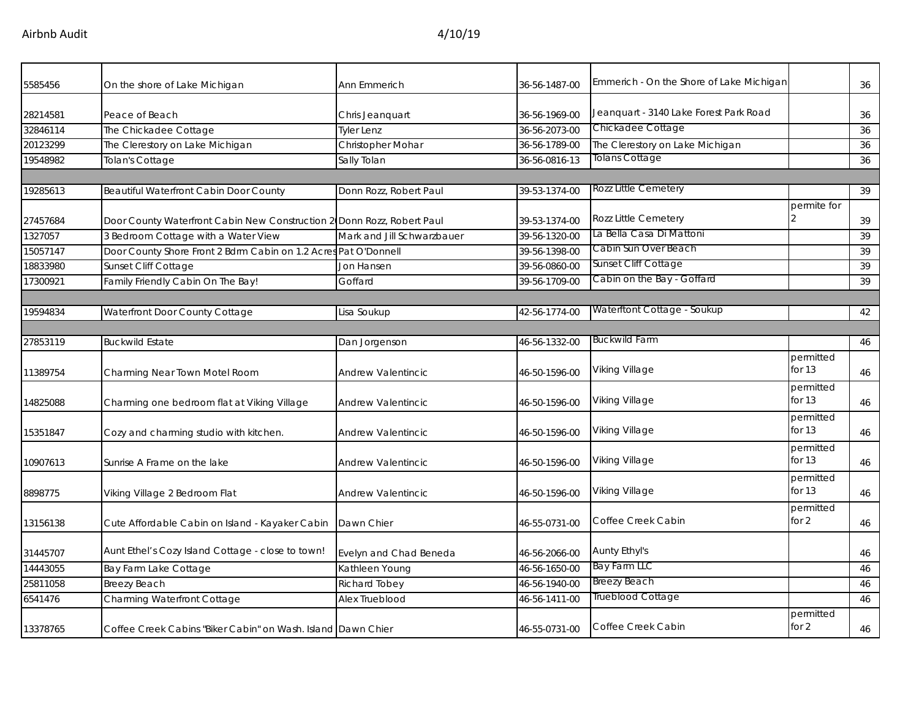| 5585456  | On the shore of Lake Michigan                                          | <b>Ann Emmerich</b>        | 36-56-1487-00 | Emmerich - On the Shore of Lake Michigan |                       | 36 |
|----------|------------------------------------------------------------------------|----------------------------|---------------|------------------------------------------|-----------------------|----|
| 28214581 | Peace of Beach                                                         | Chris Jeanquart            | 36-56-1969-00 | Jeanquart - 3140 Lake Forest Park Road   |                       | 36 |
| 32846114 | The Chickadee Cottage                                                  | <b>Tyler Lenz</b>          | 36-56-2073-00 | Chickadee Cottage                        |                       | 36 |
| 20123299 | The Clerestory on Lake Michigan                                        | Christopher Mohar          | 36-56-1789-00 | The Clerestory on Lake Michigan          |                       | 36 |
| 19548982 | <b>Tolan's Cottage</b>                                                 | Sally Tolan                | 36-56-0816-13 | <b>Tolans Cottage</b>                    |                       | 36 |
|          |                                                                        |                            |               |                                          |                       |    |
| 19285613 | Beautiful Waterfront Cabin Door County                                 | Donn Rozz, Robert Paul     | 39-53-1374-00 | Rozz Little Cemetery                     |                       | 39 |
| 27457684 | Door County Waterfront Cabin New Construction 2 Donn Rozz, Robert Paul |                            | 39-53-1374-00 | <b>Rozz Little Cemetery</b>              | permite for           | 39 |
| 1327057  | 3 Bedroom Cottage with a Water View                                    | Mark and Jill Schwarzbauer | 39-56-1320-00 | La Bella Casa Di Mattoni                 |                       | 39 |
| 15057147 | Door County Shore Front 2 Bdrm Cabin on 1.2 Acres Pat O'Donnell        |                            | 39-56-1398-00 | Cabin Sun Over Beach                     |                       | 39 |
| 18833980 | Sunset Cliff Cottage                                                   | Jon Hansen                 | 39-56-0860-00 | Sunset Cliff Cottage                     |                       | 39 |
| 17300921 | Family Friendly Cabin On The Bay!                                      | Goffard                    | 39-56-1709-00 | Cabin on the Bay - Goffard               |                       | 39 |
|          |                                                                        |                            |               |                                          |                       |    |
| 19594834 | Waterfront Door County Cottage                                         | Lisa Soukup                | 42-56-1774-00 | Waterftont Cottage - Soukup              |                       | 42 |
|          |                                                                        |                            |               |                                          |                       |    |
| 27853119 | <b>Buckwild Estate</b>                                                 | Dan Jorgenson              | 46-56-1332-00 | <b>Buckwild Farm</b>                     |                       | 46 |
| 11389754 | Charming Near Town Motel Room                                          | <b>Andrew Valentincic</b>  | 46-50-1596-00 | Viking Village                           | permitted<br>for $13$ | 46 |
| 14825088 | Charming one bedroom flat at Viking Village                            | Andrew Valentincic         | 46-50-1596-00 | Viking Village                           | permitted<br>for $13$ | 46 |
| 15351847 | Cozy and charming studio with kitchen.                                 | <b>Andrew Valentincic</b>  | 46-50-1596-00 | Viking Village                           | permitted<br>for 13   | 46 |
| 10907613 | Sunrise A Frame on the lake                                            | <b>Andrew Valentincic</b>  | 46-50-1596-00 | Viking Village                           | permitted<br>for 13   | 46 |
| 8898775  | Viking Village 2 Bedroom Flat                                          | <b>Andrew Valentincic</b>  | 46-50-1596-00 | Viking Village                           | permitted<br>for 13   | 46 |
| 13156138 | Cute Affordable Cabin on Island - Kayaker Cabin                        | Dawn Chier                 | 46-55-0731-00 | Coffee Creek Cabin                       | permitted<br>for 2    | 46 |
| 31445707 | Aunt Ethel's Cozy Island Cottage - close to town!                      | Evelyn and Chad Beneda     | 46-56-2066-00 | Aunty Ethyl's                            |                       | 46 |
| 14443055 | Bay Farm Lake Cottage                                                  | Kathleen Young             | 46-56-1650-00 | <b>Bay Farm LLC</b>                      |                       | 46 |
| 25811058 | <b>Breezy Beach</b>                                                    | <b>Richard Tobey</b>       | 46-56-1940-00 | <b>Breezy Beach</b>                      |                       | 46 |
| 6541476  | Charming Waterfront Cottage                                            | Alex Trueblood             | 46-56-1411-00 | Trueblood Cottage                        |                       | 46 |
| 13378765 | Coffee Creek Cabins "Biker Cabin" on Wash. Island Dawn Chier           |                            | 46-55-0731-00 | Coffee Creek Cabin                       | permitted<br>for $2$  | 46 |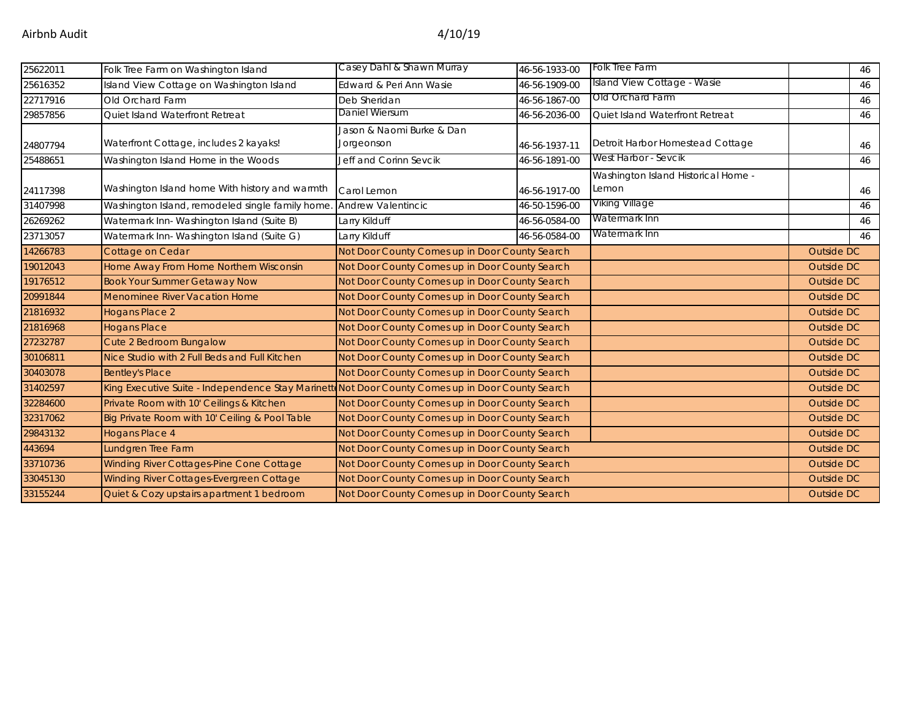| 25622011 | Folk Tree Farm on Washington Island                                                              | Casey Dahl & Shawn Murray                      | 46-56-1933-00 | Folk Tree Farm                               |                   | 46 |
|----------|--------------------------------------------------------------------------------------------------|------------------------------------------------|---------------|----------------------------------------------|-------------------|----|
| 25616352 | Island View Cottage on Washington Island                                                         | Edward & Peri Ann Wasie                        | 46-56-1909-00 | Island View Cottage - Wasie                  |                   | 46 |
| 22717916 | Old Orchard Farm                                                                                 | Deb Sheridan                                   | 46-56-1867-00 | Old Orchard Farm                             |                   | 46 |
| 29857856 | Quiet Island Waterfront Retreat                                                                  | Daniel Wiersum                                 | 46-56-2036-00 | Quiet Island Waterfront Retreat              |                   | 46 |
|          |                                                                                                  | Jason & Naomi Burke & Dan                      |               |                                              |                   |    |
| 24807794 | Waterfront Cottage, includes 2 kayaks!                                                           | Jorgeonson                                     | 46-56-1937-11 | Detroit Harbor Homestead Cottage             |                   | 46 |
| 25488651 | Washington Island Home in the Woods                                                              | Jeff and Corinn Sevcik                         | 46-56-1891-00 | West Harbor - Sevcik                         |                   | 46 |
| 24117398 | Washington Island home With history and warmth                                                   | Carol Lemon                                    | 46-56-1917-00 | Washington Island Historical Home -<br>Lemon |                   | 46 |
| 31407998 | Washington Island, remodeled single family home.                                                 | Andrew Valentincic                             | 46-50-1596-00 | Viking Village                               |                   | 46 |
| 26269262 | Watermark Inn-Washington Island (Suite B)                                                        | Larry Kilduff                                  | 46-56-0584-00 | Watermark Inn                                |                   | 46 |
| 23713057 | Watermark Inn- Washington Island (Suite G)                                                       | Larry Kilduff                                  | 46-56-0584-00 | Watermark Inn                                |                   | 46 |
| 14266783 | Cottage on Cedar                                                                                 | Not Door County Comes up in Door County Search |               |                                              | Outside DC        |    |
| 19012043 | Home Away From Home Northern Wisconsin                                                           | Not Door County Comes up in Door County Search |               |                                              | <b>Outside DC</b> |    |
| 19176512 | <b>Book Your Summer Getaway Now</b>                                                              | Not Door County Comes up in Door County Search |               |                                              | Outside DC        |    |
| 20991844 | Menominee River Vacation Home                                                                    | Not Door County Comes up in Door County Search |               |                                              | Outside DC        |    |
| 21816932 | <b>Hogans Place 2</b>                                                                            | Not Door County Comes up in Door County Search |               |                                              | Outside DC        |    |
| 21816968 | <b>Hogans Place</b>                                                                              | Not Door County Comes up in Door County Search |               |                                              | Outside DC        |    |
| 27232787 | Cute 2 Bedroom Bungalow                                                                          | Not Door County Comes up in Door County Search |               |                                              | Outside DC        |    |
| 30106811 | Nice Studio with 2 Full Beds and Full Kitchen                                                    | Not Door County Comes up in Door County Search |               |                                              | <b>Outside DC</b> |    |
| 30403078 | <b>Bentley's Place</b>                                                                           | Not Door County Comes up in Door County Search |               |                                              | <b>Outside DC</b> |    |
| 31402597 | King Executive Suite - Independence Stay Marinett Not Door County Comes up in Door County Search |                                                |               |                                              | Outside DC        |    |
| 32284600 | Private Room with 10' Ceilings & Kitchen                                                         | Not Door County Comes up in Door County Search |               |                                              | <b>Outside DC</b> |    |
| 32317062 | Big Private Room with 10' Ceiling & Pool Table                                                   | Not Door County Comes up in Door County Search |               |                                              | Outside DC        |    |
| 29843132 | <b>Hogans Place 4</b>                                                                            | Not Door County Comes up in Door County Search |               |                                              | Outside DC        |    |
| 443694   | Lundgren Tree Farm                                                                               | Not Door County Comes up in Door County Search |               |                                              | <b>Outside DC</b> |    |
| 33710736 | <b>Winding River Cottages-Pine Cone Cottage</b>                                                  | Not Door County Comes up in Door County Search |               |                                              | Outside DC        |    |
| 33045130 | Winding River Cottages-Evergreen Cottage                                                         | Not Door County Comes up in Door County Search |               |                                              | Outside DC        |    |
| 33155244 | Quiet & Cozy upstairs apartment 1 bedroom                                                        | Not Door County Comes up in Door County Search |               |                                              | Outside DC        |    |